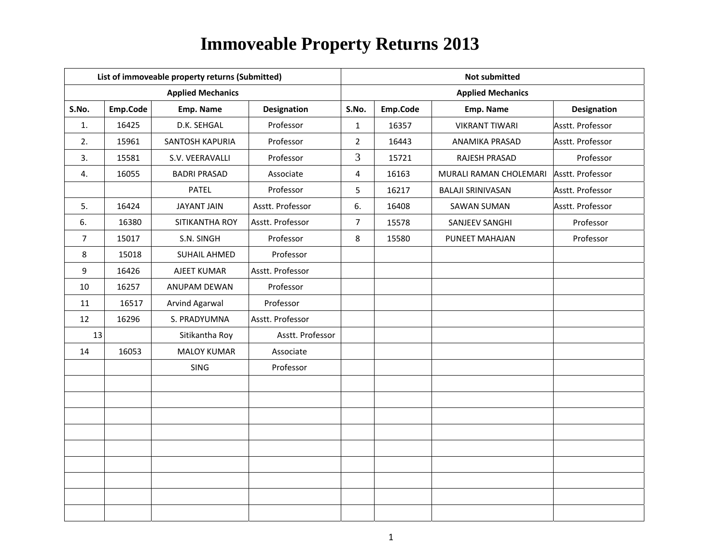|       |          | List of immoveable property returns (Submitted) |                    | <b>Not submitted</b> |          |                          |                    |  |
|-------|----------|-------------------------------------------------|--------------------|----------------------|----------|--------------------------|--------------------|--|
|       |          | <b>Applied Mechanics</b>                        |                    |                      |          | <b>Applied Mechanics</b> |                    |  |
| S.No. | Emp.Code | Emp. Name                                       | <b>Designation</b> | S.No.                | Emp.Code | Emp. Name                | <b>Designation</b> |  |
| 1.    | 16425    | D.K. SEHGAL                                     | Professor          | $\mathbf{1}$         | 16357    | <b>VIKRANT TIWARI</b>    | Asstt. Professor   |  |
| 2.    | 15961    | SANTOSH KAPURIA                                 | Professor          | $\overline{2}$       | 16443    | ANAMIKA PRASAD           | Asstt. Professor   |  |
| 3.    | 15581    | S.V. VEERAVALLI                                 | Professor          | $\overline{3}$       | 15721    | RAJESH PRASAD            | Professor          |  |
| 4.    | 16055    | <b>BADRI PRASAD</b>                             | Associate          | $\overline{4}$       | 16163    | MURALI RAMAN CHOLEMARI   | Asstt. Professor   |  |
|       |          | <b>PATEL</b>                                    | Professor          | 5                    | 16217    | <b>BALAJI SRINIVASAN</b> | Asstt. Professor   |  |
| 5.    | 16424    | <b>JAYANT JAIN</b>                              | Asstt. Professor   | 6.                   | 16408    | <b>SAWAN SUMAN</b>       | Asstt. Professor   |  |
| 6.    | 16380    | SITIKANTHA ROY                                  | Asstt. Professor   | $\overline{7}$       | 15578    | SANJEEV SANGHI           | Professor          |  |
| 7     | 15017    | S.N. SINGH                                      | Professor          | 8                    | 15580    | PUNEET MAHAJAN           | Professor          |  |
| 8     | 15018    | <b>SUHAIL AHMED</b>                             | Professor          |                      |          |                          |                    |  |
| 9     | 16426    | AJEET KUMAR                                     | Asstt. Professor   |                      |          |                          |                    |  |
| 10    | 16257    | ANUPAM DEWAN                                    | Professor          |                      |          |                          |                    |  |
| 11    | 16517    | Arvind Agarwal                                  | Professor          |                      |          |                          |                    |  |
| 12    | 16296    | S. PRADYUMNA                                    | Asstt. Professor   |                      |          |                          |                    |  |
| 13    |          | Sitikantha Roy                                  | Asstt. Professor   |                      |          |                          |                    |  |
| 14    | 16053    | <b>MALOY KUMAR</b>                              | Associate          |                      |          |                          |                    |  |
|       |          | <b>SING</b>                                     | Professor          |                      |          |                          |                    |  |
|       |          |                                                 |                    |                      |          |                          |                    |  |
|       |          |                                                 |                    |                      |          |                          |                    |  |
|       |          |                                                 |                    |                      |          |                          |                    |  |
|       |          |                                                 |                    |                      |          |                          |                    |  |
|       |          |                                                 |                    |                      |          |                          |                    |  |
|       |          |                                                 |                    |                      |          |                          |                    |  |
|       |          |                                                 |                    |                      |          |                          |                    |  |
|       |          |                                                 |                    |                      |          |                          |                    |  |
|       |          |                                                 |                    |                      |          |                          |                    |  |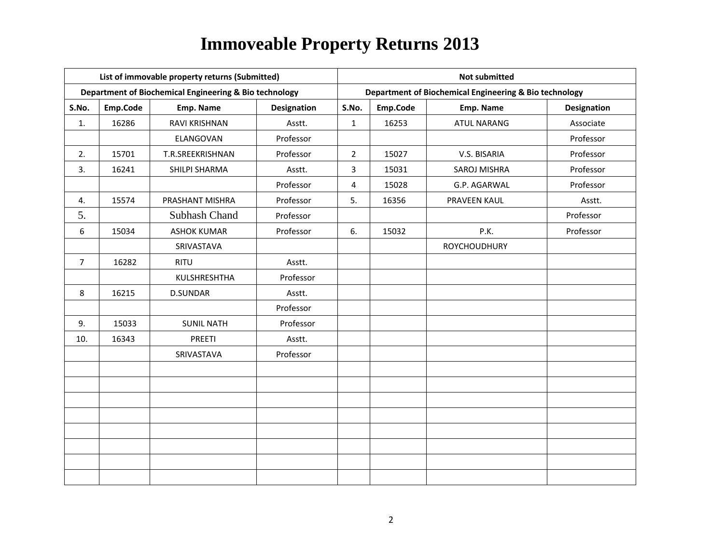|                |          | List of immovable property returns (Submitted)         |                    | <b>Not submitted</b> |          |                                                        |                    |  |
|----------------|----------|--------------------------------------------------------|--------------------|----------------------|----------|--------------------------------------------------------|--------------------|--|
|                |          | Department of Biochemical Engineering & Bio technology |                    |                      |          | Department of Biochemical Engineering & Bio technology |                    |  |
| S.No.          | Emp.Code | Emp. Name                                              | <b>Designation</b> | S.No.                | Emp.Code | Emp. Name                                              | <b>Designation</b> |  |
| 1.             | 16286    | RAVI KRISHNAN                                          | Asstt.             | $\mathbf{1}$         | 16253    | <b>ATUL NARANG</b>                                     | Associate          |  |
|                |          | ELANGOVAN                                              | Professor          |                      |          |                                                        | Professor          |  |
| 2.             | 15701    | T.R.SREEKRISHNAN                                       | Professor          | $2^{\circ}$          | 15027    | V.S. BISARIA                                           | Professor          |  |
| 3.             | 16241    | SHILPI SHARMA                                          | Asstt.             | 3                    | 15031    | SAROJ MISHRA                                           | Professor          |  |
|                |          |                                                        | Professor          | 4                    | 15028    | G.P. AGARWAL                                           | Professor          |  |
| 4.             | 15574    | PRASHANT MISHRA                                        | Professor          | 5.                   | 16356    | PRAVEEN KAUL                                           | Asstt.             |  |
| 5.             |          | <b>Subhash Chand</b>                                   | Professor          |                      |          |                                                        | Professor          |  |
| 6              | 15034    | <b>ASHOK KUMAR</b>                                     | Professor          | 6.                   | 15032    | P.K.                                                   | Professor          |  |
|                |          | SRIVASTAVA                                             |                    |                      |          | ROYCHOUDHURY                                           |                    |  |
| $\overline{7}$ | 16282    | <b>RITU</b>                                            | Asstt.             |                      |          |                                                        |                    |  |
|                |          | KULSHRESHTHA                                           | Professor          |                      |          |                                                        |                    |  |
| 8              | 16215    | <b>D.SUNDAR</b>                                        | Asstt.             |                      |          |                                                        |                    |  |
|                |          |                                                        | Professor          |                      |          |                                                        |                    |  |
| 9.             | 15033    | <b>SUNIL NATH</b>                                      | Professor          |                      |          |                                                        |                    |  |
| 10.            | 16343    | PREETI                                                 | Asstt.             |                      |          |                                                        |                    |  |
|                |          | SRIVASTAVA                                             | Professor          |                      |          |                                                        |                    |  |
|                |          |                                                        |                    |                      |          |                                                        |                    |  |
|                |          |                                                        |                    |                      |          |                                                        |                    |  |
|                |          |                                                        |                    |                      |          |                                                        |                    |  |
|                |          |                                                        |                    |                      |          |                                                        |                    |  |
|                |          |                                                        |                    |                      |          |                                                        |                    |  |
|                |          |                                                        |                    |                      |          |                                                        |                    |  |
|                |          |                                                        |                    |                      |          |                                                        |                    |  |
|                |          |                                                        |                    |                      |          |                                                        |                    |  |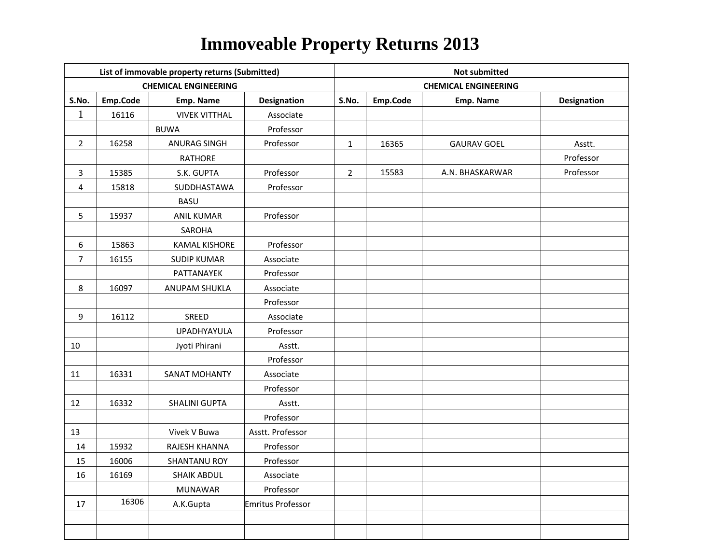|                         |          | List of immovable property returns (Submitted) |                    | <b>Not submitted</b> |          |                             |                    |  |
|-------------------------|----------|------------------------------------------------|--------------------|----------------------|----------|-----------------------------|--------------------|--|
|                         |          | <b>CHEMICAL ENGINEERING</b>                    |                    |                      |          | <b>CHEMICAL ENGINEERING</b> |                    |  |
| S.No.                   | Emp.Code | Emp. Name                                      | <b>Designation</b> | S.No.                | Emp.Code | Emp. Name                   | <b>Designation</b> |  |
| $\mathbf{1}$            | 16116    | <b>VIVEK VITTHAL</b>                           | Associate          |                      |          |                             |                    |  |
|                         |          | <b>BUWA</b>                                    | Professor          |                      |          |                             |                    |  |
| $\overline{2}$          | 16258    | <b>ANURAG SINGH</b>                            | Professor          | $\mathbf{1}$         | 16365    | <b>GAURAV GOEL</b>          | Asstt.             |  |
|                         |          | <b>RATHORE</b>                                 |                    |                      |          |                             | Professor          |  |
| 3                       | 15385    | S.K. GUPTA                                     | Professor          | $\overline{2}$       | 15583    | A.N. BHASKARWAR             | Professor          |  |
| $\overline{\mathbf{4}}$ | 15818    | SUDDHASTAWA                                    | Professor          |                      |          |                             |                    |  |
|                         |          | <b>BASU</b>                                    |                    |                      |          |                             |                    |  |
| 5                       | 15937    | <b>ANIL KUMAR</b>                              | Professor          |                      |          |                             |                    |  |
|                         |          | SAROHA                                         |                    |                      |          |                             |                    |  |
| 6                       | 15863    | <b>KAMAL KISHORE</b>                           | Professor          |                      |          |                             |                    |  |
| $\overline{7}$          | 16155    | <b>SUDIP KUMAR</b>                             | Associate          |                      |          |                             |                    |  |
|                         |          | PATTANAYEK                                     | Professor          |                      |          |                             |                    |  |
| 8                       | 16097    | ANUPAM SHUKLA                                  | Associate          |                      |          |                             |                    |  |
|                         |          |                                                | Professor          |                      |          |                             |                    |  |
| 9                       | 16112    | SREED                                          | Associate          |                      |          |                             |                    |  |
|                         |          | UPADHYAYULA                                    | Professor          |                      |          |                             |                    |  |
| 10                      |          | Jyoti Phirani                                  | Asstt.             |                      |          |                             |                    |  |
|                         |          |                                                | Professor          |                      |          |                             |                    |  |
| 11                      | 16331    | <b>SANAT MOHANTY</b>                           | Associate          |                      |          |                             |                    |  |
|                         |          |                                                | Professor          |                      |          |                             |                    |  |
| 12                      | 16332    | <b>SHALINI GUPTA</b>                           | Asstt.             |                      |          |                             |                    |  |
|                         |          |                                                | Professor          |                      |          |                             |                    |  |
| 13                      |          | Vivek V Buwa                                   | Asstt. Professor   |                      |          |                             |                    |  |
| 14                      | 15932    | RAJESH KHANNA                                  | Professor          |                      |          |                             |                    |  |
| 15                      | 16006    | SHANTANU ROY                                   | Professor          |                      |          |                             |                    |  |
| 16                      | 16169    | <b>SHAIK ABDUL</b>                             | Associate          |                      |          |                             |                    |  |
|                         |          | <b>MUNAWAR</b>                                 | Professor          |                      |          |                             |                    |  |
| 17                      | 16306    | A.K.Gupta                                      | Emritus Professor  |                      |          |                             |                    |  |
|                         |          |                                                |                    |                      |          |                             |                    |  |
|                         |          |                                                |                    |                      |          |                             |                    |  |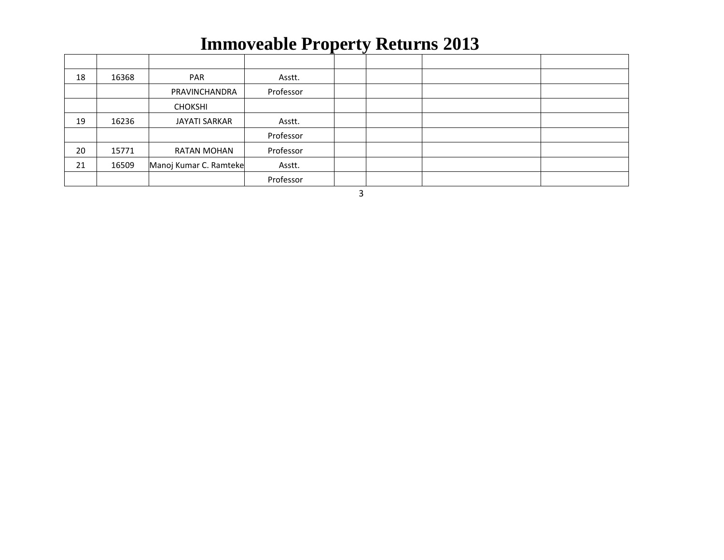|    |       |                        |           | . . |  |  |
|----|-------|------------------------|-----------|-----|--|--|
| 18 | 16368 | PAR                    | Asstt.    |     |  |  |
|    |       | PRAVINCHANDRA          | Professor |     |  |  |
|    |       | <b>CHOKSHI</b>         |           |     |  |  |
| 19 | 16236 | <b>JAYATI SARKAR</b>   | Asstt.    |     |  |  |
|    |       |                        | Professor |     |  |  |
| 20 | 15771 | <b>RATAN MOHAN</b>     | Professor |     |  |  |
| 21 | 16509 | Manoj Kumar C. Ramteke | Asstt.    |     |  |  |
|    |       |                        | Professor |     |  |  |

3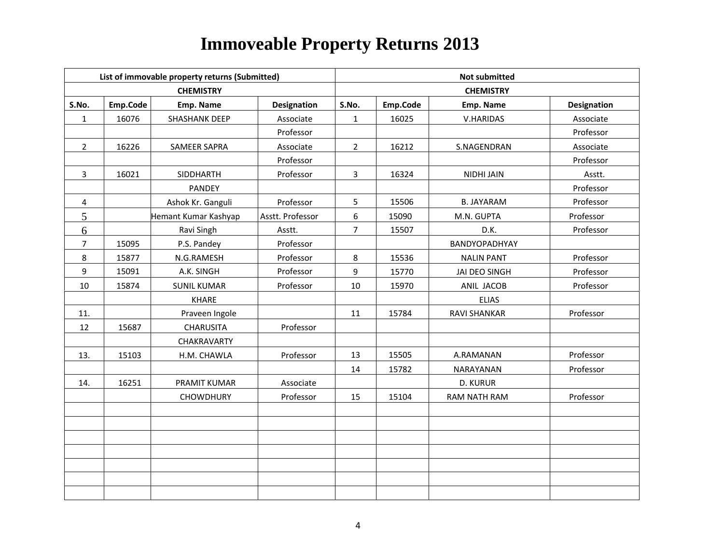|                |          | List of immovable property returns (Submitted) |                    | <b>Not submitted</b> |          |                   |                    |  |
|----------------|----------|------------------------------------------------|--------------------|----------------------|----------|-------------------|--------------------|--|
|                |          | <b>CHEMISTRY</b>                               |                    |                      |          | <b>CHEMISTRY</b>  |                    |  |
| S.No.          | Emp.Code | Emp. Name                                      | <b>Designation</b> | S.No.                | Emp.Code | Emp. Name         | <b>Designation</b> |  |
| $\mathbf{1}$   | 16076    | SHASHANK DEEP                                  | Associate          | $\mathbf{1}$         | 16025    | V.HARIDAS         | Associate          |  |
|                |          |                                                | Professor          |                      |          |                   | Professor          |  |
| $\overline{2}$ | 16226    | SAMEER SAPRA                                   | Associate          | $2^{\circ}$          | 16212    | S.NAGENDRAN       | Associate          |  |
|                |          |                                                | Professor          |                      |          |                   | Professor          |  |
| $\mathbf{3}$   | 16021    | SIDDHARTH                                      | Professor          | $\mathbf{3}$         | 16324    | <b>NIDHI JAIN</b> | Asstt.             |  |
|                |          | <b>PANDEY</b>                                  |                    |                      |          |                   | Professor          |  |
| 4              |          | Ashok Kr. Ganguli                              | Professor          | 5                    | 15506    | <b>B. JAYARAM</b> | Professor          |  |
| 5              |          | Hemant Kumar Kashyap                           | Asstt. Professor   | 6                    | 15090    | M.N. GUPTA        | Professor          |  |
| 6              |          | Ravi Singh                                     | Asstt.             | $\overline{7}$       | 15507    | D.K.              | Professor          |  |
| $\overline{7}$ | 15095    | P.S. Pandey                                    | Professor          |                      |          | BANDYOPADHYAY     |                    |  |
| 8              | 15877    | N.G.RAMESH                                     | Professor          | 8                    | 15536    | <b>NALIN PANT</b> | Professor          |  |
| 9              | 15091    | A.K. SINGH                                     | Professor          | 9                    | 15770    | JAI DEO SINGH     | Professor          |  |
| 10             | 15874    | <b>SUNIL KUMAR</b>                             | Professor          | 10                   | 15970    | ANIL JACOB        | Professor          |  |
|                |          | <b>KHARE</b>                                   |                    |                      |          | <b>ELIAS</b>      |                    |  |
| 11.            |          | Praveen Ingole                                 |                    | 11                   | 15784    | RAVI SHANKAR      | Professor          |  |
| 12             | 15687    | <b>CHARUSITA</b>                               | Professor          |                      |          |                   |                    |  |
|                |          | CHAKRAVARTY                                    |                    |                      |          |                   |                    |  |
| 13.            | 15103    | H.M. CHAWLA                                    | Professor          | 13                   | 15505    | A.RAMANAN         | Professor          |  |
|                |          |                                                |                    | 14                   | 15782    | NARAYANAN         | Professor          |  |
| 14.            | 16251    | PRAMIT KUMAR                                   | Associate          |                      |          | D. KURUR          |                    |  |
|                |          | <b>CHOWDHURY</b>                               | Professor          | 15                   | 15104    | RAM NATH RAM      | Professor          |  |
|                |          |                                                |                    |                      |          |                   |                    |  |
|                |          |                                                |                    |                      |          |                   |                    |  |
|                |          |                                                |                    |                      |          |                   |                    |  |
|                |          |                                                |                    |                      |          |                   |                    |  |
|                |          |                                                |                    |                      |          |                   |                    |  |
|                |          |                                                |                    |                      |          |                   |                    |  |
|                |          |                                                |                    |                      |          |                   |                    |  |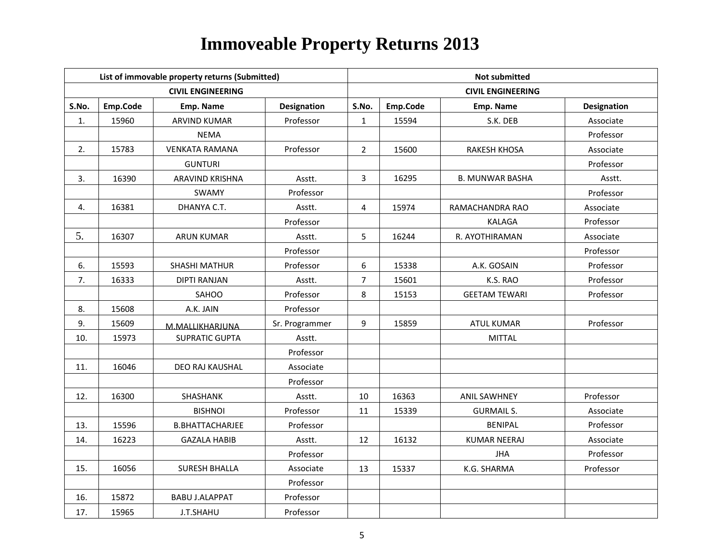|       |          | List of immovable property returns (Submitted) |                    | <b>Not submitted</b> |          |                          |             |  |
|-------|----------|------------------------------------------------|--------------------|----------------------|----------|--------------------------|-------------|--|
|       |          | <b>CIVIL ENGINEERING</b>                       |                    |                      |          | <b>CIVIL ENGINEERING</b> |             |  |
| S.No. | Emp.Code | Emp. Name                                      | <b>Designation</b> | S.No.                | Emp.Code | Emp. Name                | Designation |  |
| 1.    | 15960    | <b>ARVIND KUMAR</b>                            | Professor          | $\mathbf{1}$         | 15594    | S.K. DEB                 | Associate   |  |
|       |          | <b>NEMA</b>                                    |                    |                      |          |                          | Professor   |  |
| 2.    | 15783    | <b>VENKATA RAMANA</b>                          | Professor          | $\overline{2}$       | 15600    | <b>RAKESH KHOSA</b>      | Associate   |  |
|       |          | <b>GUNTURI</b>                                 |                    |                      |          |                          | Professor   |  |
| 3.    | 16390    | ARAVIND KRISHNA                                | Asstt.             | 3                    | 16295    | <b>B. MUNWAR BASHA</b>   | Asstt.      |  |
|       |          | SWAMY                                          | Professor          |                      |          |                          | Professor   |  |
| 4.    | 16381    | DHANYA C.T.                                    | Asstt.             | 4                    | 15974    | RAMACHANDRA RAO          | Associate   |  |
|       |          |                                                | Professor          |                      |          | <b>KALAGA</b>            | Professor   |  |
| 5.    | 16307    | <b>ARUN KUMAR</b>                              | Asstt.             | 5                    | 16244    | R. AYOTHIRAMAN           | Associate   |  |
|       |          |                                                | Professor          |                      |          |                          | Professor   |  |
| 6.    | 15593    | <b>SHASHI MATHUR</b>                           | Professor          | 6                    | 15338    | A.K. GOSAIN              | Professor   |  |
| 7.    | 16333    | <b>DIPTI RANJAN</b>                            | Asstt.             | 7                    | 15601    | K.S. RAO                 | Professor   |  |
|       |          | SAHOO                                          | Professor          | 8                    | 15153    | <b>GEETAM TEWARI</b>     | Professor   |  |
| 8.    | 15608    | A.K. JAIN                                      | Professor          |                      |          |                          |             |  |
| 9.    | 15609    | M.MALLIKHARJUNA                                | Sr. Programmer     | 9                    | 15859    | <b>ATUL KUMAR</b>        | Professor   |  |
| 10.   | 15973    | <b>SUPRATIC GUPTA</b>                          | Asstt.             |                      |          | <b>MITTAL</b>            |             |  |
|       |          |                                                | Professor          |                      |          |                          |             |  |
| 11.   | 16046    | DEO RAJ KAUSHAL                                | Associate          |                      |          |                          |             |  |
|       |          |                                                | Professor          |                      |          |                          |             |  |
| 12.   | 16300    | SHASHANK                                       | Asstt.             | 10                   | 16363    | <b>ANIL SAWHNEY</b>      | Professor   |  |
|       |          | <b>BISHNOI</b>                                 | Professor          | 11                   | 15339    | <b>GURMAIL S.</b>        | Associate   |  |
| 13.   | 15596    | <b>B.BHATTACHARJEE</b>                         | Professor          |                      |          | <b>BENIPAL</b>           | Professor   |  |
| 14.   | 16223    | <b>GAZALA HABIB</b>                            | Asstt.             | 12                   | 16132    | <b>KUMAR NEERAJ</b>      | Associate   |  |
|       |          |                                                | Professor          |                      |          | <b>JHA</b>               | Professor   |  |
| 15.   | 16056    | <b>SURESH BHALLA</b>                           | Associate          | 13                   | 15337    | K.G. SHARMA              | Professor   |  |
|       |          |                                                | Professor          |                      |          |                          |             |  |
| 16.   | 15872    | <b>BABU J.ALAPPAT</b>                          | Professor          |                      |          |                          |             |  |
| 17.   | 15965    | J.T.SHAHU                                      | Professor          |                      |          |                          |             |  |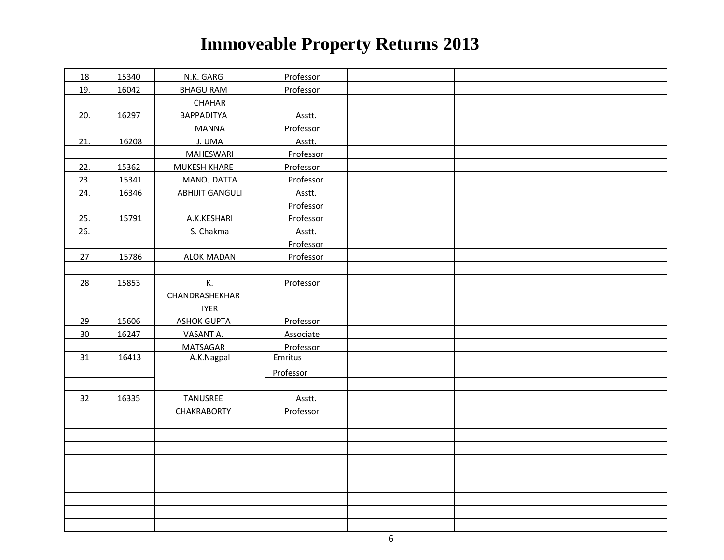| 18  | 15340 | N.K. GARG              | Professor |  |  |
|-----|-------|------------------------|-----------|--|--|
| 19. | 16042 | <b>BHAGU RAM</b>       | Professor |  |  |
|     |       | <b>CHAHAR</b>          |           |  |  |
| 20. | 16297 | <b>BAPPADITYA</b>      | Asstt.    |  |  |
|     |       | <b>MANNA</b>           | Professor |  |  |
| 21. | 16208 | J. UMA                 | Asstt.    |  |  |
|     |       | <b>MAHESWARI</b>       | Professor |  |  |
| 22. | 15362 | <b>MUKESH KHARE</b>    | Professor |  |  |
| 23. | 15341 | <b>MANOJ DATTA</b>     | Professor |  |  |
| 24. | 16346 | <b>ABHIJIT GANGULI</b> | Asstt.    |  |  |
|     |       |                        | Professor |  |  |
| 25. | 15791 | A.K.KESHARI            | Professor |  |  |
| 26. |       | S. Chakma              | Asstt.    |  |  |
|     |       |                        | Professor |  |  |
| 27  | 15786 | <b>ALOK MADAN</b>      | Professor |  |  |
|     |       |                        |           |  |  |
| 28  | 15853 | К.                     | Professor |  |  |
|     |       | CHANDRASHEKHAR         |           |  |  |
|     |       | <b>IYER</b>            |           |  |  |
| 29  | 15606 | <b>ASHOK GUPTA</b>     | Professor |  |  |
| 30  | 16247 | VASANT A.              | Associate |  |  |
|     |       | <b>MATSAGAR</b>        | Professor |  |  |
| 31  | 16413 | A.K.Nagpal             | Emritus   |  |  |
|     |       |                        | Professor |  |  |
|     |       |                        |           |  |  |
| 32  | 16335 | <b>TANUSREE</b>        | Asstt.    |  |  |
|     |       | <b>CHAKRABORTY</b>     | Professor |  |  |
|     |       |                        |           |  |  |
|     |       |                        |           |  |  |
|     |       |                        |           |  |  |
|     |       |                        |           |  |  |
|     |       |                        |           |  |  |
|     |       |                        |           |  |  |
|     |       |                        |           |  |  |
|     |       |                        |           |  |  |
|     |       |                        |           |  |  |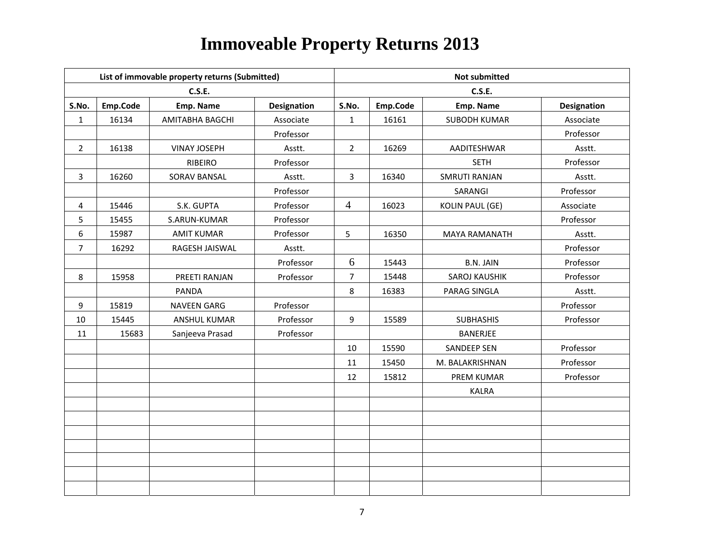|                  |          | List of immovable property returns (Submitted) |                    |                | <b>Not submitted</b> |                        |                    |  |  |
|------------------|----------|------------------------------------------------|--------------------|----------------|----------------------|------------------------|--------------------|--|--|
|                  |          | <b>C.S.E.</b>                                  |                    |                |                      | <b>C.S.E.</b>          |                    |  |  |
| S.No.            | Emp.Code | Emp. Name                                      | <b>Designation</b> | S.No.          | Emp.Code             | Emp. Name              | <b>Designation</b> |  |  |
| $\mathbf{1}$     | 16134    | AMITABHA BAGCHI                                | Associate          | $\mathbf{1}$   | 16161                | <b>SUBODH KUMAR</b>    | Associate          |  |  |
|                  |          |                                                | Professor          |                |                      |                        | Professor          |  |  |
| $\overline{2}$   | 16138    | <b>VINAY JOSEPH</b>                            | Asstt.             | $\overline{2}$ | 16269                | AADITESHWAR            | Asstt.             |  |  |
|                  |          | <b>RIBEIRO</b>                                 | Professor          |                |                      | <b>SETH</b>            | Professor          |  |  |
| 3                | 16260    | SORAV BANSAL                                   | Asstt.             | 3              | 16340                | <b>SMRUTI RANJAN</b>   | Asstt.             |  |  |
|                  |          |                                                | Professor          |                |                      | SARANGI                | Professor          |  |  |
| 4                | 15446    | S.K. GUPTA                                     | Professor          | $\overline{4}$ | 16023                | <b>KOLIN PAUL (GE)</b> | Associate          |  |  |
| 5                | 15455    | S.ARUN-KUMAR                                   | Professor          |                |                      |                        | Professor          |  |  |
| $\boldsymbol{6}$ | 15987    | <b>AMIT KUMAR</b>                              | Professor          | 5              | 16350                | <b>MAYA RAMANATH</b>   | Asstt.             |  |  |
| $\overline{7}$   | 16292    | RAGESH JAISWAL                                 | Asstt.             |                |                      |                        | Professor          |  |  |
|                  |          |                                                | Professor          | 6              | 15443                | <b>B.N. JAIN</b>       | Professor          |  |  |
| 8                | 15958    | PREETI RANJAN                                  | Professor          | $\overline{7}$ | 15448                | SAROJ KAUSHIK          | Professor          |  |  |
|                  |          | PANDA                                          |                    | 8              | 16383                | PARAG SINGLA           | Asstt.             |  |  |
| 9                | 15819    | <b>NAVEEN GARG</b>                             | Professor          |                |                      |                        | Professor          |  |  |
| 10               | 15445    | ANSHUL KUMAR                                   | Professor          | 9              | 15589                | <b>SUBHASHIS</b>       | Professor          |  |  |
| 11               | 15683    | Sanjeeva Prasad                                | Professor          |                |                      | <b>BANERJEE</b>        |                    |  |  |
|                  |          |                                                |                    | 10             | 15590                | <b>SANDEEP SEN</b>     | Professor          |  |  |
|                  |          |                                                |                    | 11             | 15450                | M. BALAKRISHNAN        | Professor          |  |  |
|                  |          |                                                |                    | 12             | 15812                | PREM KUMAR             | Professor          |  |  |
|                  |          |                                                |                    |                |                      | <b>KALRA</b>           |                    |  |  |
|                  |          |                                                |                    |                |                      |                        |                    |  |  |
|                  |          |                                                |                    |                |                      |                        |                    |  |  |
|                  |          |                                                |                    |                |                      |                        |                    |  |  |
|                  |          |                                                |                    |                |                      |                        |                    |  |  |
|                  |          |                                                |                    |                |                      |                        |                    |  |  |
|                  |          |                                                |                    |                |                      |                        |                    |  |  |
|                  |          |                                                |                    |                |                      |                        |                    |  |  |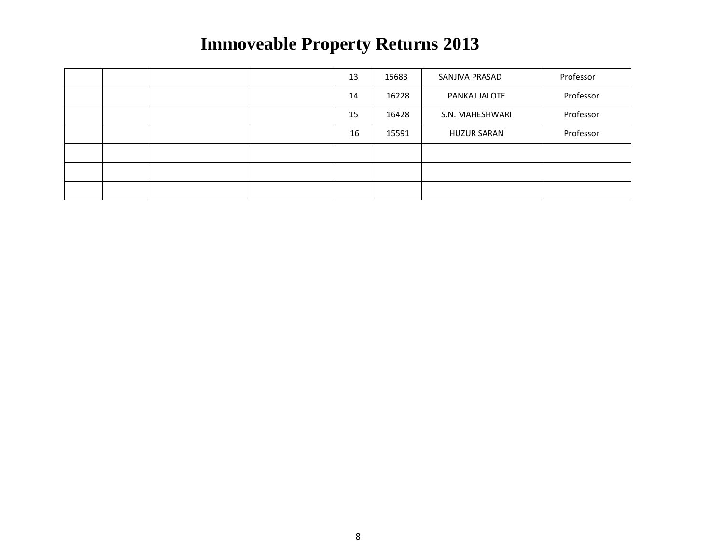|  |  | 13 | 15683 | SANJIVA PRASAD     | Professor |
|--|--|----|-------|--------------------|-----------|
|  |  | 14 | 16228 | PANKAJ JALOTE      | Professor |
|  |  | 15 | 16428 | S.N. MAHESHWARI    | Professor |
|  |  | 16 | 15591 | <b>HUZUR SARAN</b> | Professor |
|  |  |    |       |                    |           |
|  |  |    |       |                    |           |
|  |  |    |       |                    |           |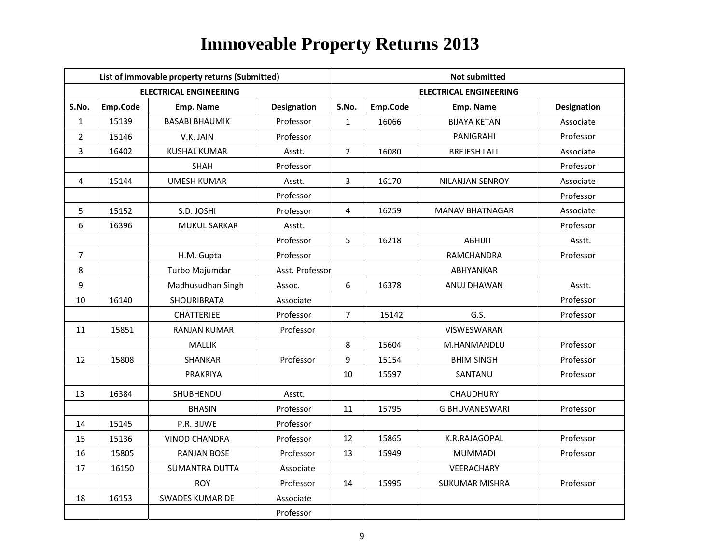|                |          | List of immovable property returns (Submitted) |                 | <b>Not submitted</b> |          |                               |                    |  |
|----------------|----------|------------------------------------------------|-----------------|----------------------|----------|-------------------------------|--------------------|--|
|                |          | <b>ELECTRICAL ENGINEERING</b>                  |                 |                      |          | <b>ELECTRICAL ENGINEERING</b> |                    |  |
| S.No.          | Emp.Code | Emp. Name                                      | Designation     | S.No.                | Emp.Code | Emp. Name                     | <b>Designation</b> |  |
| $\mathbf{1}$   | 15139    | <b>BASABI BHAUMIK</b>                          | Professor       | $\mathbf{1}$         | 16066    | <b>BIJAYA KETAN</b>           | Associate          |  |
| $\overline{2}$ | 15146    | V.K. JAIN                                      | Professor       |                      |          | <b>PANIGRAHI</b>              | Professor          |  |
| 3              | 16402    | <b>KUSHAL KUMAR</b>                            | Asstt.          | $\overline{2}$       | 16080    | <b>BREJESH LALL</b>           | Associate          |  |
|                |          | SHAH                                           | Professor       |                      |          |                               | Professor          |  |
| 4              | 15144    | <b>UMESH KUMAR</b>                             | Asstt.          | 3                    | 16170    | <b>NILANJAN SENROY</b>        | Associate          |  |
|                |          |                                                | Professor       |                      |          |                               | Professor          |  |
| 5              | 15152    | S.D. JOSHI                                     | Professor       | 4                    | 16259    | <b>MANAV BHATNAGAR</b>        | Associate          |  |
| 6              | 16396    | <b>MUKUL SARKAR</b>                            | Asstt.          |                      |          |                               | Professor          |  |
|                |          |                                                | Professor       | 5                    | 16218    | <b>ABHIJIT</b>                | Asstt.             |  |
| $\overline{7}$ |          | H.M. Gupta                                     | Professor       |                      |          | RAMCHANDRA                    | Professor          |  |
| 8              |          | Turbo Majumdar                                 | Asst. Professor |                      |          | ABHYANKAR                     |                    |  |
| 9              |          | Madhusudhan Singh                              | Assoc.          | 6                    | 16378    | ANUJ DHAWAN                   | Asstt.             |  |
| 10             | 16140    | <b>SHOURIBRATA</b>                             | Associate       |                      |          |                               | Professor          |  |
|                |          | <b>CHATTERJEE</b>                              | Professor       | $\overline{7}$       | 15142    | G.S.                          | Professor          |  |
| 11             | 15851    | <b>RANJAN KUMAR</b>                            | Professor       |                      |          | VISWESWARAN                   |                    |  |
|                |          | <b>MALLIK</b>                                  |                 | 8                    | 15604    | M.HANMANDLU                   | Professor          |  |
| 12             | 15808    | <b>SHANKAR</b>                                 | Professor       | 9                    | 15154    | <b>BHIM SINGH</b>             | Professor          |  |
|                |          | <b>PRAKRIYA</b>                                |                 | 10                   | 15597    | SANTANU                       | Professor          |  |
| 13             | 16384    | SHUBHENDU                                      | Asstt.          |                      |          | CHAUDHURY                     |                    |  |
|                |          | <b>BHASIN</b>                                  | Professor       | 11                   | 15795    | <b>G.BHUVANESWARI</b>         | Professor          |  |
| 14             | 15145    | P.R. BIJWE                                     | Professor       |                      |          |                               |                    |  |
| 15             | 15136    | <b>VINOD CHANDRA</b>                           | Professor       | 12                   | 15865    | K.R.RAJAGOPAL                 | Professor          |  |
| 16             | 15805    | <b>RANJAN BOSE</b>                             | Professor       | 13                   | 15949    | <b>MUMMADI</b>                | Professor          |  |
| 17             | 16150    | <b>SUMANTRA DUTTA</b>                          | Associate       |                      |          | VEERACHARY                    |                    |  |
|                |          | <b>ROY</b>                                     | Professor       | 14                   | 15995    | <b>SUKUMAR MISHRA</b>         | Professor          |  |
| 18             | 16153    | <b>SWADES KUMAR DE</b>                         | Associate       |                      |          |                               |                    |  |
|                |          |                                                | Professor       |                      |          |                               |                    |  |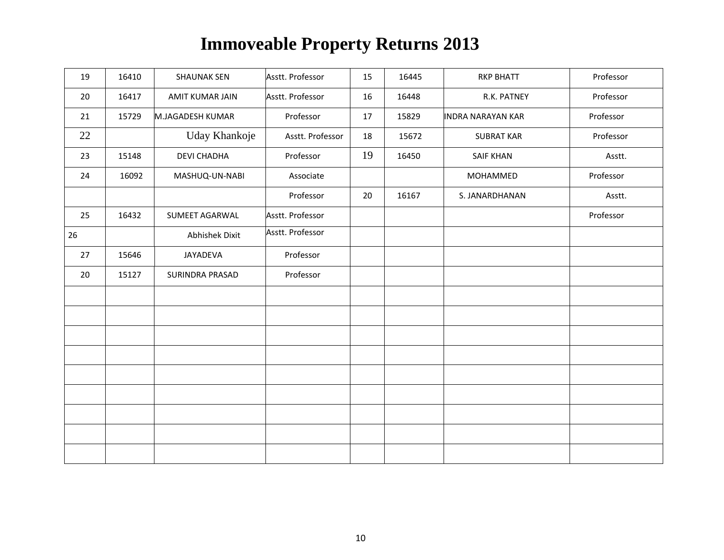| 19 | 16410 | <b>SHAUNAK SEN</b>     | Asstt. Professor | 15 | 16445 | <b>RKP BHATT</b>         | Professor |
|----|-------|------------------------|------------------|----|-------|--------------------------|-----------|
| 20 | 16417 | <b>AMIT KUMAR JAIN</b> | Asstt. Professor | 16 | 16448 | R.K. PATNEY              | Professor |
| 21 | 15729 | M.JAGADESH KUMAR       | Professor        | 17 | 15829 | <b>INDRA NARAYAN KAR</b> | Professor |
| 22 |       | Uday Khankoje          | Asstt. Professor | 18 | 15672 | <b>SUBRAT KAR</b>        | Professor |
| 23 | 15148 | <b>DEVI CHADHA</b>     | Professor        | 19 | 16450 | <b>SAIF KHAN</b>         | Asstt.    |
| 24 | 16092 | MASHUQ-UN-NABI         | Associate        |    |       | MOHAMMED                 | Professor |
|    |       |                        | Professor        | 20 | 16167 | S. JANARDHANAN           | Asstt.    |
| 25 | 16432 | SUMEET AGARWAL         | Asstt. Professor |    |       |                          | Professor |
| 26 |       | <b>Abhishek Dixit</b>  | Asstt. Professor |    |       |                          |           |
| 27 | 15646 | JAYADEVA               | Professor        |    |       |                          |           |
| 20 | 15127 | SURINDRA PRASAD        | Professor        |    |       |                          |           |
|    |       |                        |                  |    |       |                          |           |
|    |       |                        |                  |    |       |                          |           |
|    |       |                        |                  |    |       |                          |           |
|    |       |                        |                  |    |       |                          |           |
|    |       |                        |                  |    |       |                          |           |
|    |       |                        |                  |    |       |                          |           |
|    |       |                        |                  |    |       |                          |           |
|    |       |                        |                  |    |       |                          |           |
|    |       |                        |                  |    |       |                          |           |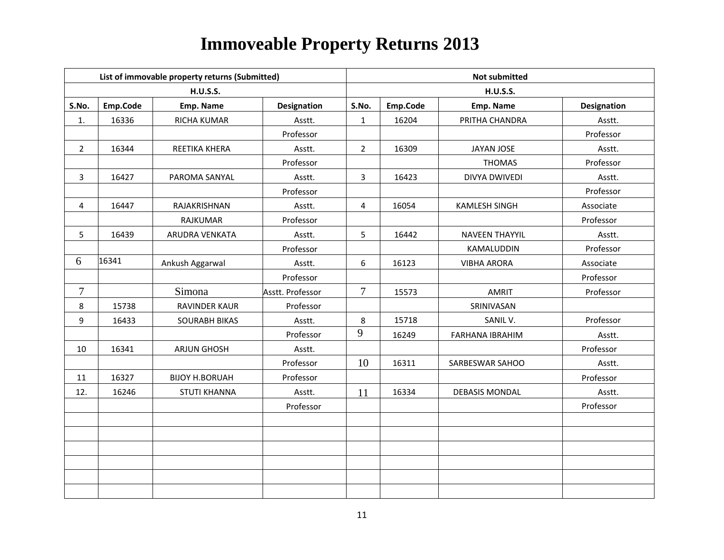|                |          | List of immovable property returns (Submitted) |                    |                | <b>Not submitted</b> |                       |                    |  |  |
|----------------|----------|------------------------------------------------|--------------------|----------------|----------------------|-----------------------|--------------------|--|--|
|                |          | <b>H.U.S.S.</b>                                |                    |                |                      | <b>H.U.S.S.</b>       |                    |  |  |
| S.No.          | Emp.Code | Emp. Name                                      | <b>Designation</b> | S.No.          | Emp.Code             | Emp. Name             | <b>Designation</b> |  |  |
| 1.             | 16336    | RICHA KUMAR                                    | Asstt.             | $\mathbf{1}$   | 16204                | PRITHA CHANDRA        | Asstt.             |  |  |
|                |          |                                                | Professor          |                |                      |                       | Professor          |  |  |
| $\overline{2}$ | 16344    | REETIKA KHERA                                  | Asstt.             | $\overline{2}$ | 16309                | <b>JAYAN JOSE</b>     | Asstt.             |  |  |
|                |          |                                                | Professor          |                |                      | <b>THOMAS</b>         | Professor          |  |  |
| 3              | 16427    | PAROMA SANYAL                                  | Asstt.             | 3              | 16423                | DIVYA DWIVEDI         | Asstt.             |  |  |
|                |          |                                                | Professor          |                |                      |                       | Professor          |  |  |
| 4              | 16447    | RAJAKRISHNAN                                   | Asstt.             | 4              | 16054                | <b>KAMLESH SINGH</b>  | Associate          |  |  |
|                |          | <b>RAJKUMAR</b>                                | Professor          |                |                      |                       | Professor          |  |  |
| 5              | 16439    | ARUDRA VENKATA                                 | Asstt.             | 5              | 16442                | <b>NAVEEN THAYYIL</b> | Asstt.             |  |  |
|                |          |                                                | Professor          |                |                      | KAMALUDDIN            | Professor          |  |  |
| 6              | 16341    | Ankush Aggarwal                                | Asstt.             | 6              | 16123                | <b>VIBHA ARORA</b>    | Associate          |  |  |
|                |          |                                                | Professor          |                |                      |                       | Professor          |  |  |
| $\overline{7}$ |          | Simona                                         | Asstt. Professor   | $\overline{7}$ | 15573                | <b>AMRIT</b>          | Professor          |  |  |
| 8              | 15738    | <b>RAVINDER KAUR</b>                           | Professor          |                |                      | SRINIVASAN            |                    |  |  |
| 9              | 16433    | <b>SOURABH BIKAS</b>                           | Asstt.             | 8              | 15718                | SANIL V.              | Professor          |  |  |
|                |          |                                                | Professor          | 9              | 16249                | FARHANA IBRAHIM       | Asstt.             |  |  |
| 10             | 16341    | <b>ARJUN GHOSH</b>                             | Asstt.             |                |                      |                       | Professor          |  |  |
|                |          |                                                | Professor          | 10             | 16311                | SARBESWAR SAHOO       | Asstt.             |  |  |
| 11             | 16327    | <b>BIJOY H.BORUAH</b>                          | Professor          |                |                      |                       | Professor          |  |  |
| 12.            | 16246    | <b>STUTI KHANNA</b>                            | Asstt.             | 11             | 16334                | <b>DEBASIS MONDAL</b> | Asstt.             |  |  |
|                |          |                                                | Professor          |                |                      |                       | Professor          |  |  |
|                |          |                                                |                    |                |                      |                       |                    |  |  |
|                |          |                                                |                    |                |                      |                       |                    |  |  |
|                |          |                                                |                    |                |                      |                       |                    |  |  |
|                |          |                                                |                    |                |                      |                       |                    |  |  |
|                |          |                                                |                    |                |                      |                       |                    |  |  |
|                |          |                                                |                    |                |                      |                       |                    |  |  |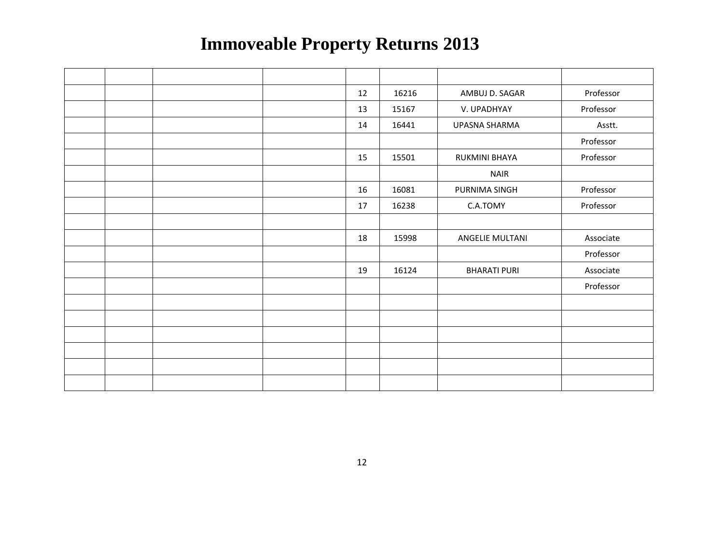|  |  | 12 | 16216 | AMBUJ D. SAGAR      | Professor |
|--|--|----|-------|---------------------|-----------|
|  |  | 13 | 15167 | V. UPADHYAY         | Professor |
|  |  | 14 | 16441 | UPASNA SHARMA       | Asstt.    |
|  |  |    |       |                     | Professor |
|  |  | 15 | 15501 | RUKMINI BHAYA       | Professor |
|  |  |    |       | <b>NAIR</b>         |           |
|  |  | 16 | 16081 | PURNIMA SINGH       | Professor |
|  |  | 17 | 16238 | C.A.TOMY            | Professor |
|  |  |    |       |                     |           |
|  |  | 18 | 15998 | ANGELIE MULTANI     | Associate |
|  |  |    |       |                     | Professor |
|  |  | 19 | 16124 | <b>BHARATI PURI</b> | Associate |
|  |  |    |       |                     | Professor |
|  |  |    |       |                     |           |
|  |  |    |       |                     |           |
|  |  |    |       |                     |           |
|  |  |    |       |                     |           |
|  |  |    |       |                     |           |
|  |  |    |       |                     |           |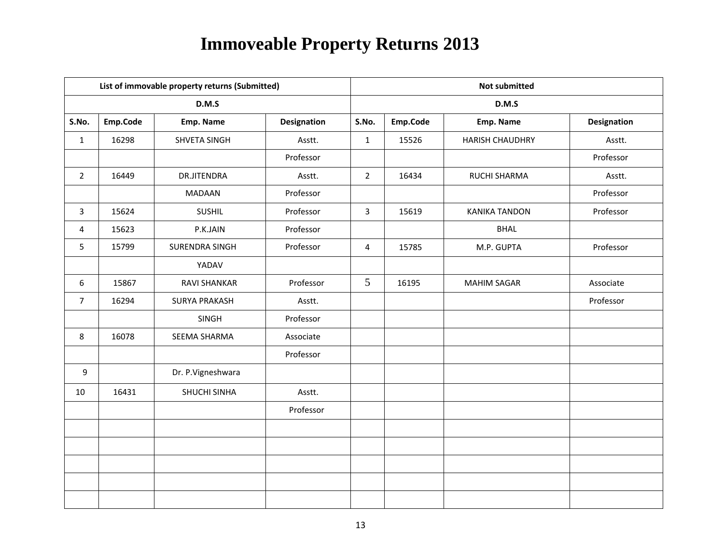|                |          | List of immovable property returns (Submitted) |                    |                 | <b>Not submitted</b> |                        |                    |  |  |
|----------------|----------|------------------------------------------------|--------------------|-----------------|----------------------|------------------------|--------------------|--|--|
|                |          | D.M.S                                          |                    |                 |                      | D.M.S                  |                    |  |  |
| S.No.          | Emp.Code | Emp. Name                                      | <b>Designation</b> | S.No.           | Emp.Code             | Emp. Name              | <b>Designation</b> |  |  |
| $\mathbf{1}$   | 16298    | SHVETA SINGH                                   | Asstt.             | $\mathbf{1}$    | 15526                | <b>HARISH CHAUDHRY</b> | Asstt.             |  |  |
|                |          |                                                | Professor          |                 |                      |                        | Professor          |  |  |
| $\overline{2}$ | 16449    | DR.JITENDRA                                    | Asstt.             | $\overline{2}$  | 16434                | RUCHI SHARMA           | Asstt.             |  |  |
|                |          | MADAAN                                         | Professor          |                 |                      |                        | Professor          |  |  |
| $\mathbf{3}$   | 15624    | <b>SUSHIL</b>                                  | Professor          | $\overline{3}$  | 15619                | <b>KANIKA TANDON</b>   | Professor          |  |  |
| $\overline{4}$ | 15623    | P.K.JAIN                                       | Professor          |                 |                      | <b>BHAL</b>            |                    |  |  |
| 5              | 15799    | SURENDRA SINGH                                 | Professor          | $\overline{4}$  | 15785                | M.P. GUPTA             | Professor          |  |  |
|                |          | YADAV                                          |                    |                 |                      |                        |                    |  |  |
| 6              | 15867    | <b>RAVI SHANKAR</b>                            | Professor          | $5\overline{)}$ | 16195                | <b>MAHIM SAGAR</b>     | Associate          |  |  |
| $\overline{7}$ | 16294    | <b>SURYA PRAKASH</b>                           | Asstt.             |                 |                      |                        | Professor          |  |  |
|                |          | SINGH                                          | Professor          |                 |                      |                        |                    |  |  |
| 8              | 16078    | SEEMA SHARMA                                   | Associate          |                 |                      |                        |                    |  |  |
|                |          |                                                | Professor          |                 |                      |                        |                    |  |  |
| 9              |          | Dr. P.Vigneshwara                              |                    |                 |                      |                        |                    |  |  |
| 10             | 16431    | SHUCHI SINHA                                   | Asstt.             |                 |                      |                        |                    |  |  |
|                |          |                                                | Professor          |                 |                      |                        |                    |  |  |
|                |          |                                                |                    |                 |                      |                        |                    |  |  |
|                |          |                                                |                    |                 |                      |                        |                    |  |  |
|                |          |                                                |                    |                 |                      |                        |                    |  |  |
|                |          |                                                |                    |                 |                      |                        |                    |  |  |
|                |          |                                                |                    |                 |                      |                        |                    |  |  |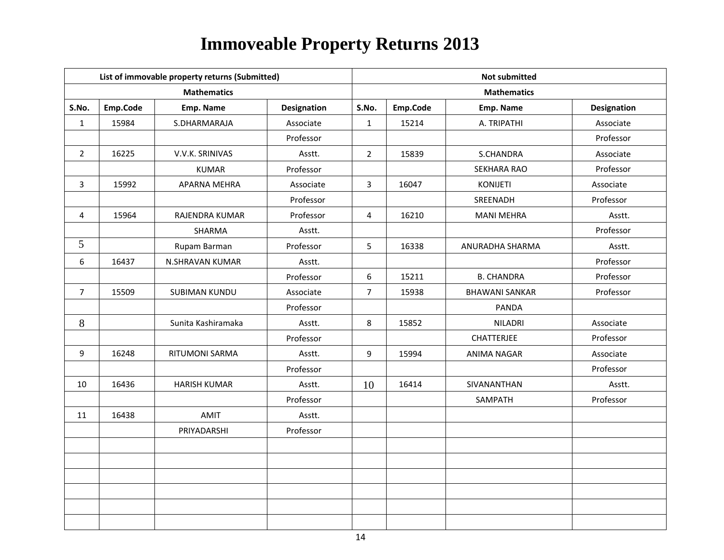|                |          | List of immovable property returns (Submitted) |                    |                | <b>Not submitted</b> |                       |                    |  |  |
|----------------|----------|------------------------------------------------|--------------------|----------------|----------------------|-----------------------|--------------------|--|--|
|                |          | <b>Mathematics</b>                             |                    |                |                      | <b>Mathematics</b>    |                    |  |  |
| S.No.          | Emp.Code | Emp. Name                                      | <b>Designation</b> | S.No.          | Emp.Code             | Emp. Name             | <b>Designation</b> |  |  |
| $\mathbf{1}$   | 15984    | S.DHARMARAJA                                   | Associate          | $\mathbf{1}$   | 15214                | A. TRIPATHI           | Associate          |  |  |
|                |          |                                                | Professor          |                |                      |                       | Professor          |  |  |
| $\overline{2}$ | 16225    | V.V.K. SRINIVAS                                | Asstt.             | $\overline{2}$ | 15839                | S.CHANDRA             | Associate          |  |  |
|                |          | <b>KUMAR</b>                                   | Professor          |                |                      | <b>SEKHARA RAO</b>    | Professor          |  |  |
| 3              | 15992    | APARNA MEHRA                                   | Associate          | $\overline{3}$ | 16047                | <b>KONIJETI</b>       | Associate          |  |  |
|                |          |                                                | Professor          |                |                      | SREENADH              | Professor          |  |  |
| 4              | 15964    | RAJENDRA KUMAR                                 | Professor          | $\overline{4}$ | 16210                | <b>MANI MEHRA</b>     | Asstt.             |  |  |
|                |          | SHARMA                                         | Asstt.             |                |                      |                       | Professor          |  |  |
| 5              |          | Rupam Barman                                   | Professor          | 5              | 16338                | ANURADHA SHARMA       | Asstt.             |  |  |
| 6              | 16437    | N.SHRAVAN KUMAR                                | Asstt.             |                |                      |                       | Professor          |  |  |
|                |          |                                                | Professor          | 6              | 15211                | <b>B. CHANDRA</b>     | Professor          |  |  |
| $\overline{7}$ | 15509    | <b>SUBIMAN KUNDU</b>                           | Associate          | $\overline{7}$ | 15938                | <b>BHAWANI SANKAR</b> | Professor          |  |  |
|                |          |                                                | Professor          |                |                      | <b>PANDA</b>          |                    |  |  |
| $8\,$          |          | Sunita Kashiramaka                             | Asstt.             | 8              | 15852                | <b>NILADRI</b>        | Associate          |  |  |
|                |          |                                                | Professor          |                |                      | CHATTERJEE            | Professor          |  |  |
| 9              | 16248    | RITUMONI SARMA                                 | Asstt.             | 9              | 15994                | <b>ANIMA NAGAR</b>    | Associate          |  |  |
|                |          |                                                | Professor          |                |                      |                       | Professor          |  |  |
| 10             | 16436    | <b>HARISH KUMAR</b>                            | Asstt.             | 10             | 16414                | SIVANANTHAN           | Asstt.             |  |  |
|                |          |                                                | Professor          |                |                      | SAMPATH               | Professor          |  |  |
| 11             | 16438    | AMIT                                           | Asstt.             |                |                      |                       |                    |  |  |
|                |          | PRIYADARSHI                                    | Professor          |                |                      |                       |                    |  |  |
|                |          |                                                |                    |                |                      |                       |                    |  |  |
|                |          |                                                |                    |                |                      |                       |                    |  |  |
|                |          |                                                |                    |                |                      |                       |                    |  |  |
|                |          |                                                |                    |                |                      |                       |                    |  |  |
|                |          |                                                |                    |                |                      |                       |                    |  |  |
|                |          |                                                |                    |                |                      |                       |                    |  |  |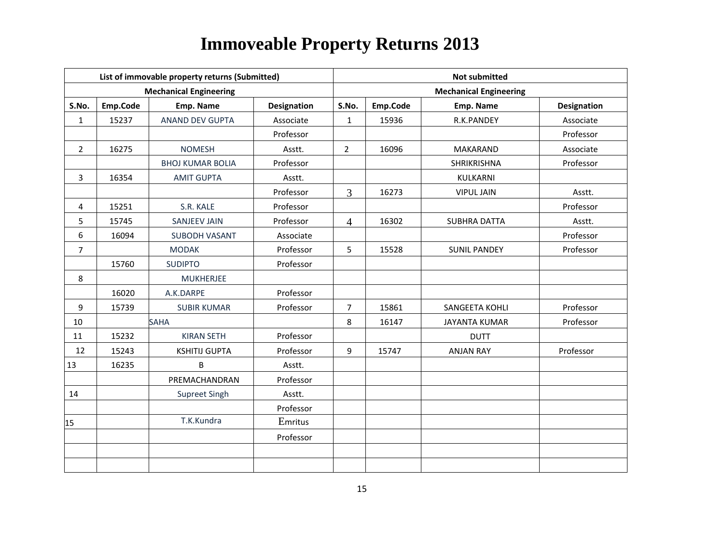|                |          | List of immovable property returns (Submitted) |                    | <b>Not submitted</b> |          |                               |                    |  |
|----------------|----------|------------------------------------------------|--------------------|----------------------|----------|-------------------------------|--------------------|--|
|                |          | <b>Mechanical Engineering</b>                  |                    |                      |          | <b>Mechanical Engineering</b> |                    |  |
| S.No.          | Emp.Code | Emp. Name                                      | <b>Designation</b> | S.No.                | Emp.Code | Emp. Name                     | <b>Designation</b> |  |
| $\mathbf{1}$   | 15237    | ANAND DEV GUPTA                                | Associate          | $\mathbf{1}$         | 15936    | R.K.PANDEY                    | Associate          |  |
|                |          |                                                | Professor          |                      |          |                               | Professor          |  |
| $\overline{2}$ | 16275    | <b>NOMESH</b>                                  | Asstt.             | $\overline{2}$       | 16096    | <b>MAKARAND</b>               | Associate          |  |
|                |          | <b>BHOJ KUMAR BOLIA</b>                        | Professor          |                      |          | SHRIKRISHNA                   | Professor          |  |
| 3              | 16354    | <b>AMIT GUPTA</b>                              | Asstt.             |                      |          | KULKARNI                      |                    |  |
|                |          |                                                | Professor          | $\overline{3}$       | 16273    | <b>VIPUL JAIN</b>             | Asstt.             |  |
| 4              | 15251    | S.R. KALE                                      | Professor          |                      |          |                               | Professor          |  |
| 5              | 15745    | <b>SANJEEV JAIN</b>                            | Professor          | $\overline{4}$       | 16302    | <b>SUBHRA DATTA</b>           | Asstt.             |  |
| 6              | 16094    | <b>SUBODH VASANT</b>                           | Associate          |                      |          |                               | Professor          |  |
| $\overline{7}$ |          | <b>MODAK</b>                                   | Professor          | 5                    | 15528    | <b>SUNIL PANDEY</b>           | Professor          |  |
|                | 15760    | <b>SUDIPTO</b>                                 | Professor          |                      |          |                               |                    |  |
| 8              |          | <b>MUKHERJEE</b>                               |                    |                      |          |                               |                    |  |
|                | 16020    | A.K.DARPE                                      | Professor          |                      |          |                               |                    |  |
| 9              | 15739    | <b>SUBIR KUMAR</b>                             | Professor          | $\overline{7}$       | 15861    | SANGEETA KOHLI                | Professor          |  |
| 10             |          | <b>SAHA</b>                                    |                    | 8                    | 16147    | <b>JAYANTA KUMAR</b>          | Professor          |  |
| 11             | 15232    | <b>KIRAN SETH</b>                              | Professor          |                      |          | <b>DUTT</b>                   |                    |  |
| 12             | 15243    | <b>KSHITIJ GUPTA</b>                           | Professor          | 9                    | 15747    | <b>ANJAN RAY</b>              | Professor          |  |
| 13             | 16235    | B                                              | Asstt.             |                      |          |                               |                    |  |
|                |          | PREMACHANDRAN                                  | Professor          |                      |          |                               |                    |  |
| 14             |          | Supreet Singh                                  | Asstt.             |                      |          |                               |                    |  |
|                |          |                                                | Professor          |                      |          |                               |                    |  |
| 15             |          | T.K.Kundra                                     | Emritus            |                      |          |                               |                    |  |
|                |          |                                                | Professor          |                      |          |                               |                    |  |
|                |          |                                                |                    |                      |          |                               |                    |  |
|                |          |                                                |                    |                      |          |                               |                    |  |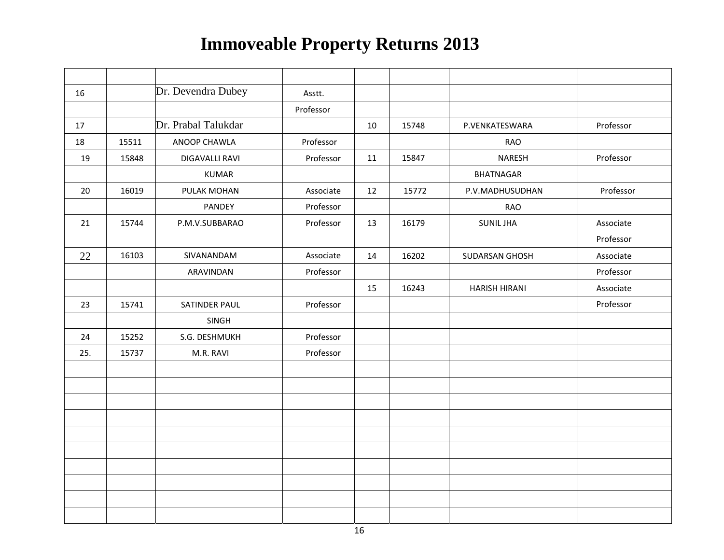| 16  |       | Dr. Devendra Dubey    | Asstt.    |    |       |                      |           |
|-----|-------|-----------------------|-----------|----|-------|----------------------|-----------|
|     |       |                       | Professor |    |       |                      |           |
| 17  |       | Dr. Prabal Talukdar   |           | 10 | 15748 | P.VENKATESWARA       | Professor |
| 18  | 15511 | ANOOP CHAWLA          | Professor |    |       | <b>RAO</b>           |           |
| 19  | 15848 | <b>DIGAVALLI RAVI</b> | Professor | 11 | 15847 | <b>NARESH</b>        | Professor |
|     |       | <b>KUMAR</b>          |           |    |       | <b>BHATNAGAR</b>     |           |
| 20  | 16019 | PULAK MOHAN           | Associate | 12 | 15772 | P.V.MADHUSUDHAN      | Professor |
|     |       | PANDEY                | Professor |    |       | <b>RAO</b>           |           |
| 21  | 15744 | P.M.V.SUBBARAO        | Professor | 13 | 16179 | <b>SUNIL JHA</b>     | Associate |
|     |       |                       |           |    |       |                      | Professor |
| 22  | 16103 | SIVANANDAM            | Associate | 14 | 16202 | SUDARSAN GHOSH       | Associate |
|     |       | ARAVINDAN             | Professor |    |       |                      | Professor |
|     |       |                       |           | 15 | 16243 | <b>HARISH HIRANI</b> | Associate |
| 23  | 15741 | SATINDER PAUL         | Professor |    |       |                      | Professor |
|     |       | SINGH                 |           |    |       |                      |           |
| 24  | 15252 | S.G. DESHMUKH         | Professor |    |       |                      |           |
| 25. | 15737 | M.R. RAVI             | Professor |    |       |                      |           |
|     |       |                       |           |    |       |                      |           |
|     |       |                       |           |    |       |                      |           |
|     |       |                       |           |    |       |                      |           |
|     |       |                       |           |    |       |                      |           |
|     |       |                       |           |    |       |                      |           |
|     |       |                       |           |    |       |                      |           |
|     |       |                       |           |    |       |                      |           |
|     |       |                       |           |    |       |                      |           |
|     |       |                       |           |    |       |                      |           |
|     |       |                       |           |    |       |                      |           |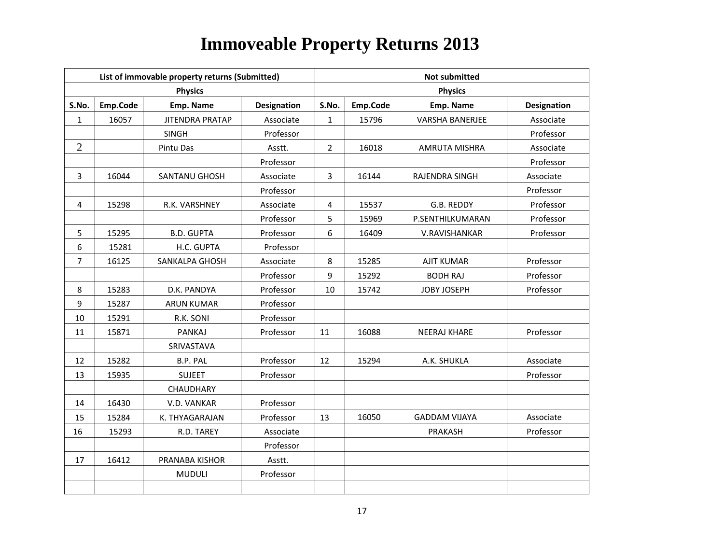|                |          | List of immovable property returns (Submitted) |                    | <b>Not submitted</b> |          |                        |                    |  |
|----------------|----------|------------------------------------------------|--------------------|----------------------|----------|------------------------|--------------------|--|
|                |          | <b>Physics</b>                                 |                    |                      |          | <b>Physics</b>         |                    |  |
| S.No.          | Emp.Code | Emp. Name                                      | <b>Designation</b> | S.No.                | Emp.Code | Emp. Name              | <b>Designation</b> |  |
| $\mathbf{1}$   | 16057    | <b>JITENDRA PRATAP</b>                         | Associate          | $\mathbf{1}$         | 15796    | <b>VARSHA BANERJEE</b> | Associate          |  |
|                |          | <b>SINGH</b>                                   | Professor          |                      |          |                        | Professor          |  |
| $\overline{2}$ |          | Pintu Das                                      | Asstt.             | $\overline{2}$       | 16018    | <b>AMRUTA MISHRA</b>   | Associate          |  |
|                |          |                                                | Professor          |                      |          |                        | Professor          |  |
| 3              | 16044    | <b>SANTANU GHOSH</b>                           | Associate          | 3                    | 16144    | RAJENDRA SINGH         | Associate          |  |
|                |          |                                                | Professor          |                      |          |                        | Professor          |  |
| 4              | 15298    | R.K. VARSHNEY                                  | Associate          | 4                    | 15537    | G.B. REDDY             | Professor          |  |
|                |          |                                                | Professor          | 5                    | 15969    | P.SENTHILKUMARAN       | Professor          |  |
| 5              | 15295    | <b>B.D. GUPTA</b>                              | Professor          | 6                    | 16409    | V.RAVISHANKAR          | Professor          |  |
| 6              | 15281    | H.C. GUPTA                                     | Professor          |                      |          |                        |                    |  |
| 7              | 16125    | SANKALPA GHOSH                                 | Associate          | 8                    | 15285    | <b>AJIT KUMAR</b>      | Professor          |  |
|                |          |                                                | Professor          | 9                    | 15292    | <b>BODH RAJ</b>        | Professor          |  |
| 8              | 15283    | D.K. PANDYA                                    | Professor          | 10                   | 15742    | JOBY JOSEPH            | Professor          |  |
| 9              | 15287    | <b>ARUN KUMAR</b>                              | Professor          |                      |          |                        |                    |  |
| 10             | 15291    | R.K. SONI                                      | Professor          |                      |          |                        |                    |  |
| 11             | 15871    | PANKAJ                                         | Professor          | 11                   | 16088    | <b>NEERAJ KHARE</b>    | Professor          |  |
|                |          | SRIVASTAVA                                     |                    |                      |          |                        |                    |  |
| 12             | 15282    | B.P. PAL                                       | Professor          | 12                   | 15294    | A.K. SHUKLA            | Associate          |  |
| 13             | 15935    | <b>SUJEET</b>                                  | Professor          |                      |          |                        | Professor          |  |
|                |          | CHAUDHARY                                      |                    |                      |          |                        |                    |  |
| 14             | 16430    | V.D. VANKAR                                    | Professor          |                      |          |                        |                    |  |
| 15             | 15284    | K. THYAGARAJAN                                 | Professor          | 13                   | 16050    | <b>GADDAM VIJAYA</b>   | Associate          |  |
| 16             | 15293    | R.D. TAREY                                     | Associate          |                      |          | PRAKASH                | Professor          |  |
|                |          |                                                | Professor          |                      |          |                        |                    |  |
| 17             | 16412    | <b>PRANABA KISHOR</b>                          | Asstt.             |                      |          |                        |                    |  |
|                |          | <b>MUDULI</b>                                  | Professor          |                      |          |                        |                    |  |
|                |          |                                                |                    |                      |          |                        |                    |  |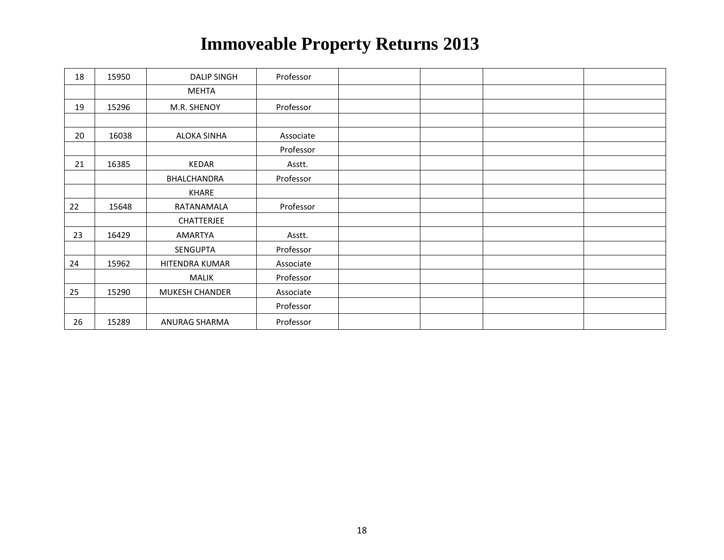| 18 | 15950 | <b>DALIP SINGH</b> | Professor |  |  |
|----|-------|--------------------|-----------|--|--|
|    |       | <b>MEHTA</b>       |           |  |  |
| 19 | 15296 | M.R. SHENOY        | Professor |  |  |
|    |       |                    |           |  |  |
| 20 | 16038 | <b>ALOKA SINHA</b> | Associate |  |  |
|    |       |                    | Professor |  |  |
| 21 | 16385 | KEDAR              | Asstt.    |  |  |
|    |       | BHALCHANDRA        | Professor |  |  |
|    |       | KHARE              |           |  |  |
| 22 | 15648 | RATANAMALA         | Professor |  |  |
|    |       | <b>CHATTERJEE</b>  |           |  |  |
| 23 | 16429 | AMARTYA            | Asstt.    |  |  |
|    |       | SENGUPTA           | Professor |  |  |
| 24 | 15962 | HITENDRA KUMAR     | Associate |  |  |
|    |       | MALIK              | Professor |  |  |
| 25 | 15290 | MUKESH CHANDER     | Associate |  |  |
|    |       |                    | Professor |  |  |
| 26 | 15289 | ANURAG SHARMA      | Professor |  |  |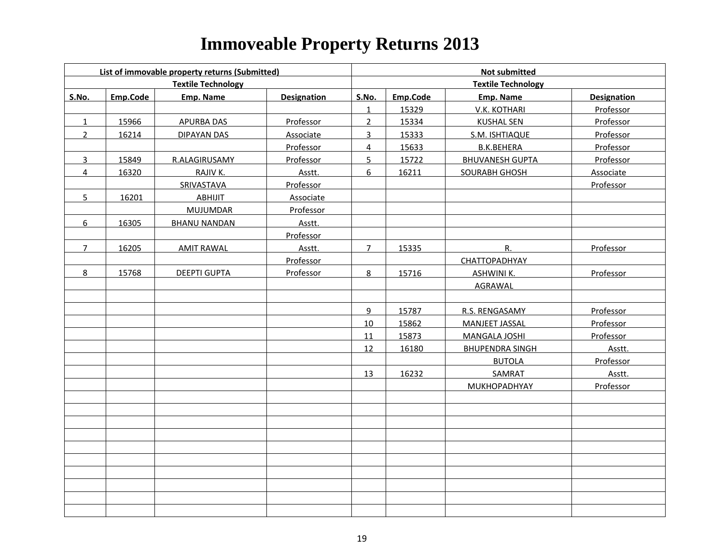|                | List of immovable property returns (Submitted)<br><b>Textile Technology</b> |                     |                    | <b>Not submitted</b> |          |                           |                    |  |
|----------------|-----------------------------------------------------------------------------|---------------------|--------------------|----------------------|----------|---------------------------|--------------------|--|
|                |                                                                             |                     |                    |                      |          | <b>Textile Technology</b> |                    |  |
| <b>S.No.</b>   | Emp.Code                                                                    | <b>Emp. Name</b>    | <b>Designation</b> | S.No.                | Emp.Code | Emp. Name                 | <b>Designation</b> |  |
|                |                                                                             |                     |                    | $\mathbf{1}$         | 15329    | V.K. KOTHARI              | Professor          |  |
| $\mathbf{1}$   | 15966                                                                       | <b>APURBA DAS</b>   | Professor          | $\overline{2}$       | 15334    | <b>KUSHAL SEN</b>         | Professor          |  |
| $\overline{2}$ | 16214                                                                       | <b>DIPAYAN DAS</b>  | Associate          | $\overline{3}$       | 15333    | S.M. ISHTIAQUE            | Professor          |  |
|                |                                                                             |                     | Professor          | $\overline{4}$       | 15633    | <b>B.K.BEHERA</b>         | Professor          |  |
| 3              | 15849                                                                       | R.ALAGIRUSAMY       | Professor          | 5                    | 15722    | <b>BHUVANESH GUPTA</b>    | Professor          |  |
| $\overline{4}$ | 16320                                                                       | RAJIV K.            | Asstt.             | 6                    | 16211    | SOURABH GHOSH             | Associate          |  |
|                |                                                                             | SRIVASTAVA          | Professor          |                      |          |                           | Professor          |  |
| 5              | 16201                                                                       | ABHIJIT             | Associate          |                      |          |                           |                    |  |
|                |                                                                             | <b>MUJUMDAR</b>     | Professor          |                      |          |                           |                    |  |
| 6              | 16305                                                                       | <b>BHANU NANDAN</b> | Asstt.             |                      |          |                           |                    |  |
|                |                                                                             |                     | Professor          |                      |          |                           |                    |  |
| $\overline{7}$ | 16205                                                                       | <b>AMIT RAWAL</b>   | Asstt.             | $7^{\circ}$          | 15335    | R.                        | Professor          |  |
|                |                                                                             |                     | Professor          |                      |          | CHATTOPADHYAY             |                    |  |
| 8              | 15768                                                                       | <b>DEEPTI GUPTA</b> | Professor          | $8\phantom{.}$       | 15716    | <b>ASHWINI K.</b>         | Professor          |  |
|                |                                                                             |                     |                    |                      |          | <b>AGRAWAL</b>            |                    |  |
|                |                                                                             |                     |                    |                      |          |                           |                    |  |
|                |                                                                             |                     |                    | 9                    | 15787    | R.S. RENGASAMY            | Professor          |  |
|                |                                                                             |                     |                    | 10                   | 15862    | <b>MANJEET JASSAL</b>     | Professor          |  |
|                |                                                                             |                     |                    | 11                   | 15873    | <b>MANGALA JOSHI</b>      | Professor          |  |
|                |                                                                             |                     |                    | 12                   | 16180    | <b>BHUPENDRA SINGH</b>    | Asstt.             |  |
|                |                                                                             |                     |                    |                      |          | <b>BUTOLA</b>             | Professor          |  |
|                |                                                                             |                     |                    | 13                   | 16232    | <b>SAMRAT</b>             | Asstt.             |  |
|                |                                                                             |                     |                    |                      |          | MUKHOPADHYAY              | <b>Professor</b>   |  |
|                |                                                                             |                     |                    |                      |          |                           |                    |  |
|                |                                                                             |                     |                    |                      |          |                           |                    |  |
|                |                                                                             |                     |                    |                      |          |                           |                    |  |
|                |                                                                             |                     |                    |                      |          |                           |                    |  |
|                |                                                                             |                     |                    |                      |          |                           |                    |  |
|                |                                                                             |                     |                    |                      |          |                           |                    |  |
|                |                                                                             |                     |                    |                      |          |                           |                    |  |
|                |                                                                             |                     |                    |                      |          |                           |                    |  |
|                |                                                                             |                     |                    |                      |          |                           |                    |  |
|                |                                                                             |                     |                    |                      |          |                           |                    |  |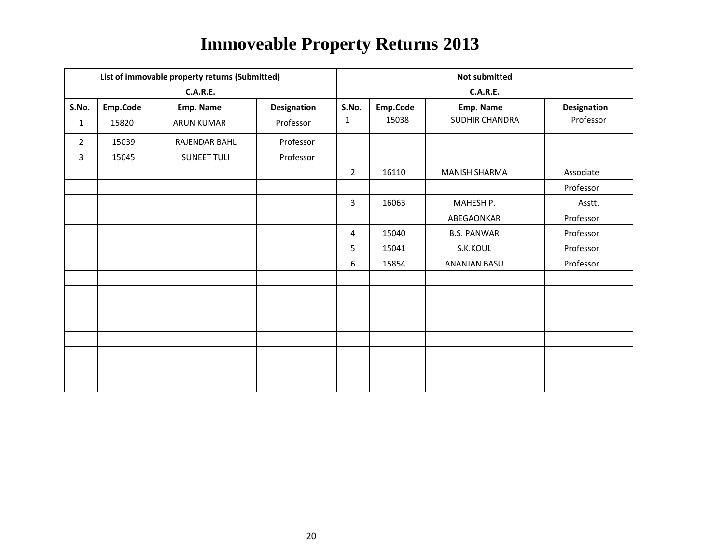|                |          | List of immovable property returns (Submitted) |                    | <b>Not submitted</b> |          |                      |                    |  |
|----------------|----------|------------------------------------------------|--------------------|----------------------|----------|----------------------|--------------------|--|
|                |          | <b>C.A.R.E.</b>                                |                    |                      |          | <b>C.A.R.E.</b>      |                    |  |
| S.No.          | Emp.Code | Emp. Name                                      | <b>Designation</b> | S.No.                | Emp.Code | Emp. Name            | <b>Designation</b> |  |
| $\mathbf{1}$   | 15820    | <b>ARUN KUMAR</b>                              | Professor          | $\mathbf{1}$         | 15038    | SUDHIR CHANDRA       | Professor          |  |
| $\overline{2}$ | 15039    | RAJENDAR BAHL                                  | Professor          |                      |          |                      |                    |  |
| 3              | 15045    | <b>SUNEET TULI</b>                             | Professor          |                      |          |                      |                    |  |
|                |          |                                                |                    | $\overline{2}$       | 16110    | <b>MANISH SHARMA</b> | Associate          |  |
|                |          |                                                |                    |                      |          |                      | Professor          |  |
|                |          |                                                |                    | 3                    | 16063    | MAHESH P.            | Asstt.             |  |
|                |          |                                                |                    |                      |          | ABEGAONKAR           | Professor          |  |
|                |          |                                                |                    | $\overline{4}$       | 15040    | <b>B.S. PANWAR</b>   | Professor          |  |
|                |          |                                                |                    | 5                    | 15041    | S.K.KOUL             | Professor          |  |
|                |          |                                                |                    | 6                    | 15854    | ANANJAN BASU         | Professor          |  |
|                |          |                                                |                    |                      |          |                      |                    |  |
|                |          |                                                |                    |                      |          |                      |                    |  |
|                |          |                                                |                    |                      |          |                      |                    |  |
|                |          |                                                |                    |                      |          |                      |                    |  |
|                |          |                                                |                    |                      |          |                      |                    |  |
|                |          |                                                |                    |                      |          |                      |                    |  |
|                |          |                                                |                    |                      |          |                      |                    |  |
|                |          |                                                |                    |                      |          |                      |                    |  |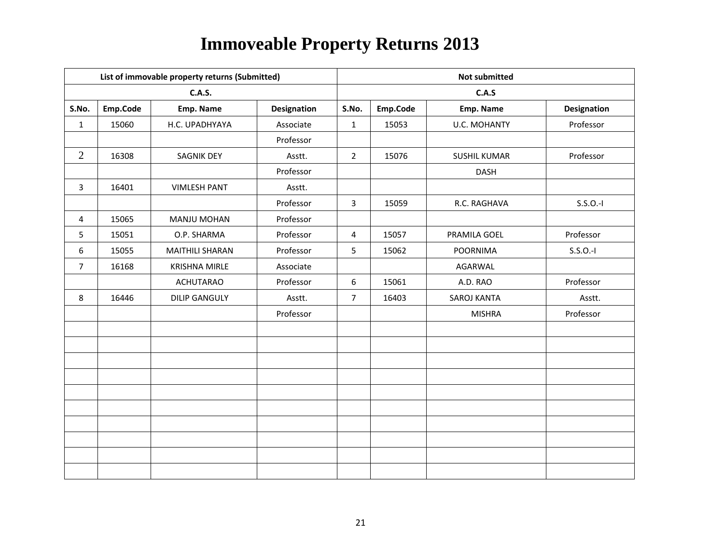|                |          | List of immovable property returns (Submitted) |                    |                | <b>Not submitted</b> |                     |                    |  |  |
|----------------|----------|------------------------------------------------|--------------------|----------------|----------------------|---------------------|--------------------|--|--|
|                |          | <b>C.A.S.</b>                                  |                    |                |                      | C.A.S               |                    |  |  |
| S.No.          | Emp.Code | Emp. Name                                      | <b>Designation</b> | S.No.          | Emp.Code             | Emp. Name           | <b>Designation</b> |  |  |
| $\mathbf{1}$   | 15060    | H.C. UPADHYAYA                                 | Associate          | $\mathbf{1}$   | 15053                | <b>U.C. MOHANTY</b> | Professor          |  |  |
|                |          |                                                | Professor          |                |                      |                     |                    |  |  |
| 2              | 16308    | <b>SAGNIK DEY</b>                              | Asstt.             | $\overline{2}$ | 15076                | <b>SUSHIL KUMAR</b> | Professor          |  |  |
|                |          |                                                | Professor          |                |                      | <b>DASH</b>         |                    |  |  |
| $\overline{3}$ | 16401    | <b>VIMLESH PANT</b>                            | Asstt.             |                |                      |                     |                    |  |  |
|                |          |                                                | Professor          | $\overline{3}$ | 15059                | R.C. RAGHAVA        | $S.S.O.-I$         |  |  |
| 4              | 15065    | MANJU MOHAN                                    | Professor          |                |                      |                     |                    |  |  |
| 5              | 15051    | O.P. SHARMA                                    | Professor          | 4              | 15057                | PRAMILA GOEL        | Professor          |  |  |
| 6              | 15055    | <b>MAITHILI SHARAN</b>                         | Professor          | 5              | 15062                | <b>POORNIMA</b>     | $S.S.O.-I$         |  |  |
| $\overline{7}$ | 16168    | <b>KRISHNA MIRLE</b>                           | Associate          |                |                      | AGARWAL             |                    |  |  |
|                |          | <b>ACHUTARAO</b>                               | Professor          | 6              | 15061                | A.D. RAO            | Professor          |  |  |
| 8              | 16446    | <b>DILIP GANGULY</b>                           | Asstt.             | $\overline{7}$ | 16403                | SAROJ KANTA         | Asstt.             |  |  |
|                |          |                                                | Professor          |                |                      | <b>MISHRA</b>       | Professor          |  |  |
|                |          |                                                |                    |                |                      |                     |                    |  |  |
|                |          |                                                |                    |                |                      |                     |                    |  |  |
|                |          |                                                |                    |                |                      |                     |                    |  |  |
|                |          |                                                |                    |                |                      |                     |                    |  |  |
|                |          |                                                |                    |                |                      |                     |                    |  |  |
|                |          |                                                |                    |                |                      |                     |                    |  |  |
|                |          |                                                |                    |                |                      |                     |                    |  |  |
|                |          |                                                |                    |                |                      |                     |                    |  |  |
|                |          |                                                |                    |                |                      |                     |                    |  |  |
|                |          |                                                |                    |                |                      |                     |                    |  |  |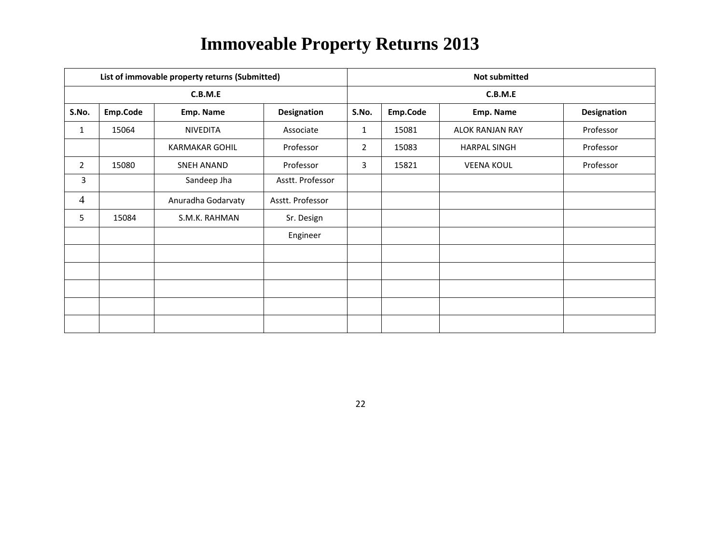|                |          | List of immovable property returns (Submitted) |                    | <b>Not submitted</b> |          |                        |                    |  |  |
|----------------|----------|------------------------------------------------|--------------------|----------------------|----------|------------------------|--------------------|--|--|
|                |          | C.B.M.E                                        |                    |                      | C.B.M.E  |                        |                    |  |  |
| S.No.          | Emp.Code | Emp. Name                                      | <b>Designation</b> | S.No.                | Emp.Code | Emp. Name              | <b>Designation</b> |  |  |
| $\mathbf{1}$   | 15064    | <b>NIVEDITA</b>                                | Associate          | 1                    | 15081    | <b>ALOK RANJAN RAY</b> | Professor          |  |  |
|                |          | <b>KARMAKAR GOHIL</b>                          | Professor          | $\overline{2}$       | 15083    | <b>HARPAL SINGH</b>    | Professor          |  |  |
| $\mathbf{2}$   | 15080    | <b>SNEH ANAND</b>                              | Professor          | $\overline{3}$       | 15821    | <b>VEENA KOUL</b>      | Professor          |  |  |
| 3              |          | Sandeep Jha                                    | Asstt. Professor   |                      |          |                        |                    |  |  |
| $\overline{4}$ |          | Anuradha Godarvaty                             | Asstt. Professor   |                      |          |                        |                    |  |  |
| 5              | 15084    | S.M.K. RAHMAN                                  | Sr. Design         |                      |          |                        |                    |  |  |
|                |          |                                                | Engineer           |                      |          |                        |                    |  |  |
|                |          |                                                |                    |                      |          |                        |                    |  |  |
|                |          |                                                |                    |                      |          |                        |                    |  |  |
|                |          |                                                |                    |                      |          |                        |                    |  |  |
|                |          |                                                |                    |                      |          |                        |                    |  |  |
|                |          |                                                |                    |                      |          |                        |                    |  |  |

22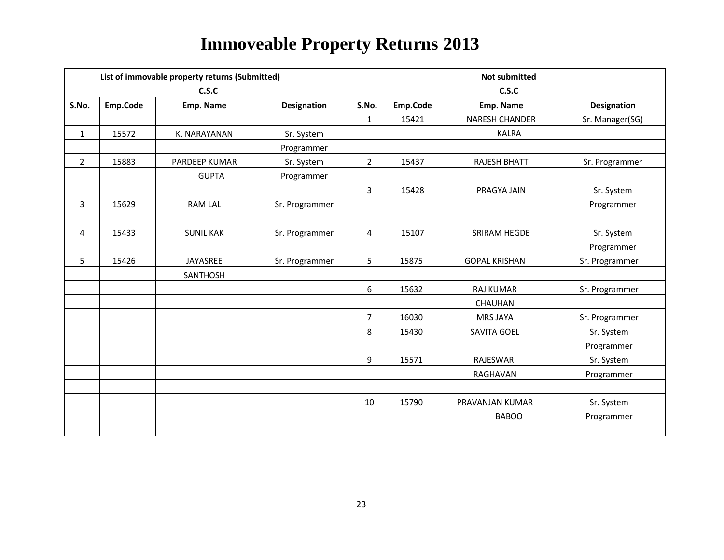|                |          | List of immovable property returns (Submitted) |                    |                | <b>Not submitted</b> |                       |                    |  |  |
|----------------|----------|------------------------------------------------|--------------------|----------------|----------------------|-----------------------|--------------------|--|--|
|                |          | C.S.C                                          |                    |                |                      | C.S.C                 |                    |  |  |
| S.No.          | Emp.Code | Emp. Name                                      | <b>Designation</b> | S.No.          | Emp.Code             | Emp. Name             | <b>Designation</b> |  |  |
|                |          |                                                |                    | $\mathbf{1}$   | 15421                | <b>NARESH CHANDER</b> | Sr. Manager(SG)    |  |  |
| $\mathbf{1}$   | 15572    | K. NARAYANAN                                   | Sr. System         |                |                      | <b>KALRA</b>          |                    |  |  |
|                |          |                                                | Programmer         |                |                      |                       |                    |  |  |
| $\overline{2}$ | 15883    | PARDEEP KUMAR                                  | Sr. System         | $\overline{2}$ | 15437                | <b>RAJESH BHATT</b>   | Sr. Programmer     |  |  |
|                |          | <b>GUPTA</b>                                   | Programmer         |                |                      |                       |                    |  |  |
|                |          |                                                |                    | $\overline{3}$ | 15428                | PRAGYA JAIN           | Sr. System         |  |  |
| 3              | 15629    | <b>RAM LAL</b>                                 | Sr. Programmer     |                |                      |                       | Programmer         |  |  |
|                |          |                                                |                    |                |                      |                       |                    |  |  |
| 4              | 15433    | <b>SUNIL KAK</b>                               | Sr. Programmer     | 4              | 15107                | SRIRAM HEGDE          | Sr. System         |  |  |
|                |          |                                                |                    |                |                      |                       | Programmer         |  |  |
| 5              | 15426    | JAYASREE                                       | Sr. Programmer     | 5              | 15875                | <b>GOPAL KRISHAN</b>  | Sr. Programmer     |  |  |
|                |          | SANTHOSH                                       |                    |                |                      |                       |                    |  |  |
|                |          |                                                |                    | 6              | 15632                | <b>RAJ KUMAR</b>      | Sr. Programmer     |  |  |
|                |          |                                                |                    |                |                      | CHAUHAN               |                    |  |  |
|                |          |                                                |                    | $\overline{7}$ | 16030                | <b>MRS JAYA</b>       | Sr. Programmer     |  |  |
|                |          |                                                |                    | 8              | 15430                | SAVITA GOEL           | Sr. System         |  |  |
|                |          |                                                |                    |                |                      |                       | Programmer         |  |  |
|                |          |                                                |                    | 9              | 15571                | RAJESWARI             | Sr. System         |  |  |
|                |          |                                                |                    |                |                      | RAGHAVAN              | Programmer         |  |  |
|                |          |                                                |                    |                |                      |                       |                    |  |  |
|                |          |                                                |                    | 10             | 15790                | PRAVANJAN KUMAR       | Sr. System         |  |  |
|                |          |                                                |                    |                |                      | <b>BABOO</b>          | Programmer         |  |  |
|                |          |                                                |                    |                |                      |                       |                    |  |  |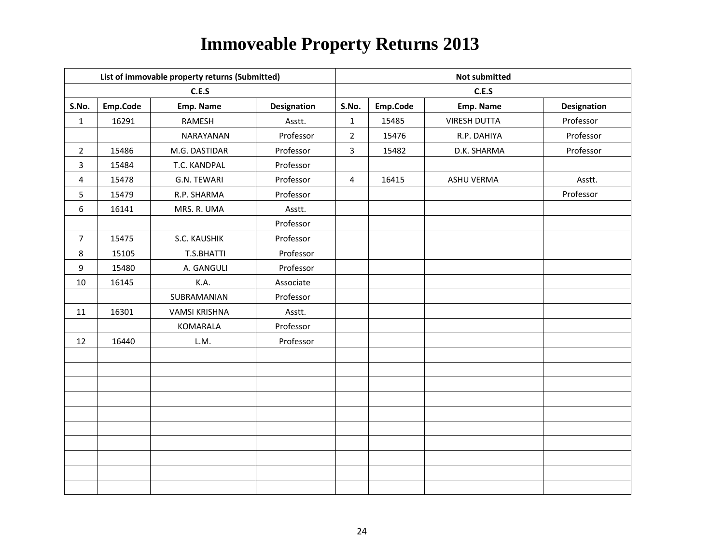|                  | List of immovable property returns (Submitted) |                      |                    |                | <b>Not submitted</b> |                     |                    |  |  |
|------------------|------------------------------------------------|----------------------|--------------------|----------------|----------------------|---------------------|--------------------|--|--|
|                  |                                                | C.E.S                |                    |                | C.E.S                |                     |                    |  |  |
| S.No.            | Emp.Code                                       | Emp. Name            | <b>Designation</b> | S.No.          | Emp.Code             | Emp. Name           | <b>Designation</b> |  |  |
| $\mathbf{1}$     | 16291                                          | RAMESH               | Asstt.             | $\mathbf{1}$   | 15485                | <b>VIRESH DUTTA</b> | Professor          |  |  |
|                  |                                                | NARAYANAN            | Professor          | $\overline{2}$ | 15476                | R.P. DAHIYA         | Professor          |  |  |
| $\overline{2}$   | 15486                                          | M.G. DASTIDAR        | Professor          | $\overline{3}$ | 15482                | D.K. SHARMA         | Professor          |  |  |
| 3                | 15484                                          | T.C. KANDPAL         | Professor          |                |                      |                     |                    |  |  |
| 4                | 15478                                          | G.N. TEWARI          | Professor          | $\overline{a}$ | 16415                | ASHU VERMA          | Asstt.             |  |  |
| 5                | 15479                                          | R.P. SHARMA          | Professor          |                |                      |                     | Professor          |  |  |
| $\boldsymbol{6}$ | 16141                                          | MRS. R. UMA          | Asstt.             |                |                      |                     |                    |  |  |
|                  |                                                |                      | Professor          |                |                      |                     |                    |  |  |
| $\overline{7}$   | 15475                                          | S.C. KAUSHIK         | Professor          |                |                      |                     |                    |  |  |
| $\,8\,$          | 15105                                          | T.S.BHATTI           | Professor          |                |                      |                     |                    |  |  |
| 9                | 15480                                          | A. GANGULI           | Professor          |                |                      |                     |                    |  |  |
| 10               | 16145                                          | K.A.                 | Associate          |                |                      |                     |                    |  |  |
|                  |                                                | SUBRAMANIAN          | Professor          |                |                      |                     |                    |  |  |
| 11               | 16301                                          | <b>VAMSI KRISHNA</b> | Asstt.             |                |                      |                     |                    |  |  |
|                  |                                                | KOMARALA             | Professor          |                |                      |                     |                    |  |  |
| 12               | 16440                                          | L.M.                 | Professor          |                |                      |                     |                    |  |  |
|                  |                                                |                      |                    |                |                      |                     |                    |  |  |
|                  |                                                |                      |                    |                |                      |                     |                    |  |  |
|                  |                                                |                      |                    |                |                      |                     |                    |  |  |
|                  |                                                |                      |                    |                |                      |                     |                    |  |  |
|                  |                                                |                      |                    |                |                      |                     |                    |  |  |
|                  |                                                |                      |                    |                |                      |                     |                    |  |  |
|                  |                                                |                      |                    |                |                      |                     |                    |  |  |
|                  |                                                |                      |                    |                |                      |                     |                    |  |  |
|                  |                                                |                      |                    |                |                      |                     |                    |  |  |
|                  |                                                |                      |                    |                |                      |                     |                    |  |  |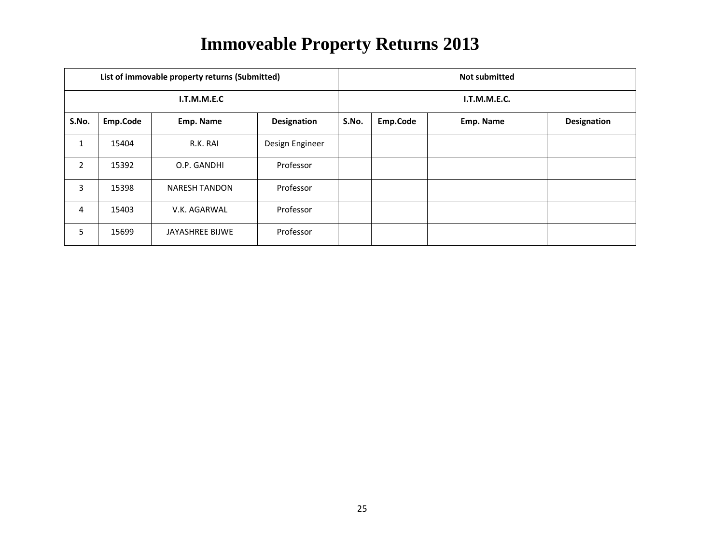|                |          | List of immovable property returns (Submitted) |                    | <b>Not submitted</b> |              |           |                    |  |  |
|----------------|----------|------------------------------------------------|--------------------|----------------------|--------------|-----------|--------------------|--|--|
| I.T.M.M.E.C    |          |                                                |                    |                      | I.T.M.M.E.C. |           |                    |  |  |
| S.No.          | Emp.Code | Emp. Name                                      | <b>Designation</b> | S.No.                | Emp.Code     | Emp. Name | <b>Designation</b> |  |  |
| $\mathbf{1}$   | 15404    | R.K. RAI                                       | Design Engineer    |                      |              |           |                    |  |  |
| $\overline{2}$ | 15392    | O.P. GANDHI                                    | Professor          |                      |              |           |                    |  |  |
| 3              | 15398    | <b>NARESH TANDON</b>                           | Professor          |                      |              |           |                    |  |  |
| 4              | 15403    | V.K. AGARWAL                                   | Professor          |                      |              |           |                    |  |  |
| 5              | 15699    | JAYASHREE BIJWE                                | Professor          |                      |              |           |                    |  |  |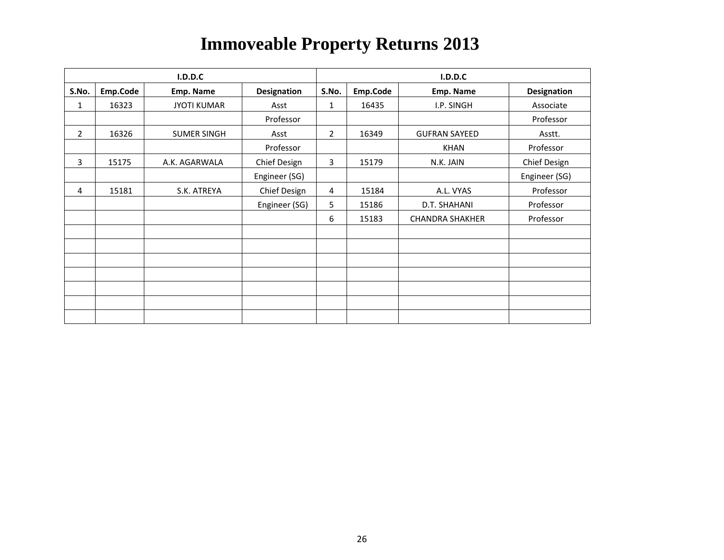| I.D.D.C        |          |                    |               | <b>I.D.D.C</b> |          |                        |                    |  |
|----------------|----------|--------------------|---------------|----------------|----------|------------------------|--------------------|--|
| S.No.          | Emp.Code | Emp. Name          | Designation   | S.No.          | Emp.Code | Emp. Name              | <b>Designation</b> |  |
| 1              | 16323    | <b>JYOTI KUMAR</b> | Asst          | 1              | 16435    | I.P. SINGH             | Associate          |  |
|                |          |                    | Professor     |                |          |                        | Professor          |  |
| $\overline{2}$ | 16326    | <b>SUMER SINGH</b> | Asst          | $\overline{2}$ | 16349    | <b>GUFRAN SAYEED</b>   | Asstt.             |  |
|                |          |                    | Professor     |                |          | <b>KHAN</b>            | Professor          |  |
| 3              | 15175    | A.K. AGARWALA      | Chief Design  | 3              | 15179    | N.K. JAIN              | Chief Design       |  |
|                |          |                    | Engineer (SG) |                |          |                        | Engineer (SG)      |  |
| 4              | 15181    | S.K. ATREYA        | Chief Design  | 4              | 15184    | A.L. VYAS              | Professor          |  |
|                |          |                    | Engineer (SG) | 5              | 15186    | D.T. SHAHANI           | Professor          |  |
|                |          |                    |               | 6              | 15183    | <b>CHANDRA SHAKHER</b> | Professor          |  |
|                |          |                    |               |                |          |                        |                    |  |
|                |          |                    |               |                |          |                        |                    |  |
|                |          |                    |               |                |          |                        |                    |  |
|                |          |                    |               |                |          |                        |                    |  |
|                |          |                    |               |                |          |                        |                    |  |
|                |          |                    |               |                |          |                        |                    |  |
|                |          |                    |               |                |          |                        |                    |  |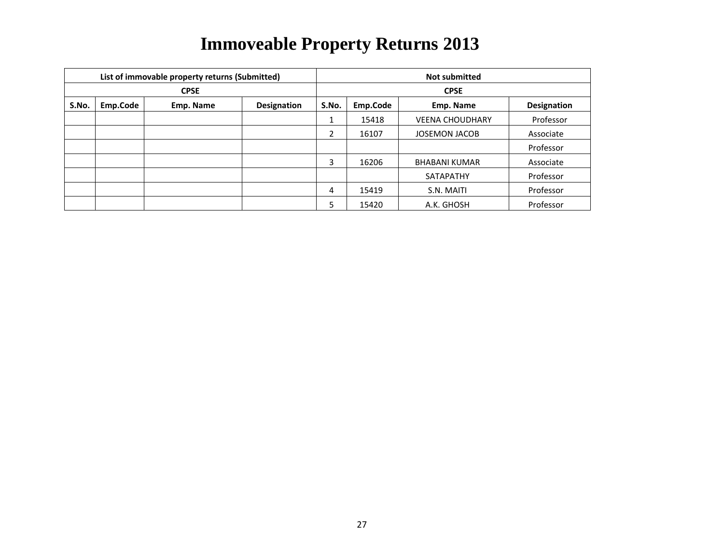|             |          | List of immovable property returns (Submitted) |             | <b>Not submitted</b> |             |                        |                    |  |  |
|-------------|----------|------------------------------------------------|-------------|----------------------|-------------|------------------------|--------------------|--|--|
| <b>CPSE</b> |          |                                                |             |                      | <b>CPSE</b> |                        |                    |  |  |
| S.No.       | Emp.Code | Emp. Name                                      | Designation | S.No.                | Emp.Code    | Emp. Name              | <b>Designation</b> |  |  |
|             |          |                                                |             |                      | 15418       | <b>VEENA CHOUDHARY</b> | Professor          |  |  |
|             |          |                                                |             | 2                    | 16107       | <b>JOSEMON JACOB</b>   | Associate          |  |  |
|             |          |                                                |             |                      |             |                        | Professor          |  |  |
|             |          |                                                |             | 3                    | 16206       | <b>BHABANI KUMAR</b>   | Associate          |  |  |
|             |          |                                                |             |                      |             | SATAPATHY              | Professor          |  |  |
|             |          |                                                |             | 4                    | 15419       | S.N. MAITI             | Professor          |  |  |
|             |          |                                                |             | 5                    | 15420       | A.K. GHOSH             | Professor          |  |  |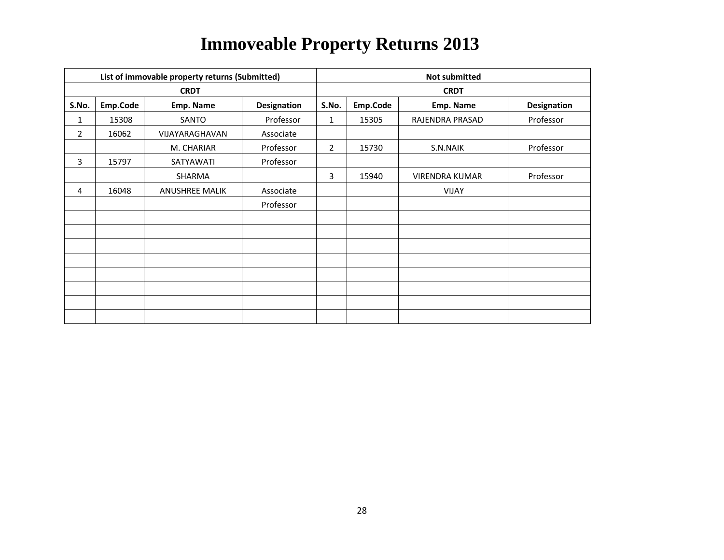|                |          | List of immovable property returns (Submitted) |             | <b>Not submitted</b> |          |                       |                    |  |
|----------------|----------|------------------------------------------------|-------------|----------------------|----------|-----------------------|--------------------|--|
|                |          | <b>CRDT</b>                                    |             | <b>CRDT</b>          |          |                       |                    |  |
| S.No.          | Emp.Code | Emp. Name                                      | Designation | S.No.                | Emp.Code | Emp. Name             | <b>Designation</b> |  |
| 1              | 15308    | SANTO                                          | Professor   | 1                    | 15305    | RAJENDRA PRASAD       | Professor          |  |
| $\overline{2}$ | 16062    | VIJAYARAGHAVAN                                 | Associate   |                      |          |                       |                    |  |
|                |          | M. CHARIAR                                     | Professor   | $\overline{2}$       | 15730    | S.N.NAIK              | Professor          |  |
| 3              | 15797    | SATYAWATI                                      | Professor   |                      |          |                       |                    |  |
|                |          | SHARMA                                         |             | 3                    | 15940    | <b>VIRENDRA KUMAR</b> | Professor          |  |
| 4              | 16048    | <b>ANUSHREE MALIK</b>                          | Associate   |                      |          | <b>VIJAY</b>          |                    |  |
|                |          |                                                | Professor   |                      |          |                       |                    |  |
|                |          |                                                |             |                      |          |                       |                    |  |
|                |          |                                                |             |                      |          |                       |                    |  |
|                |          |                                                |             |                      |          |                       |                    |  |
|                |          |                                                |             |                      |          |                       |                    |  |
|                |          |                                                |             |                      |          |                       |                    |  |
|                |          |                                                |             |                      |          |                       |                    |  |
|                |          |                                                |             |                      |          |                       |                    |  |
|                |          |                                                |             |                      |          |                       |                    |  |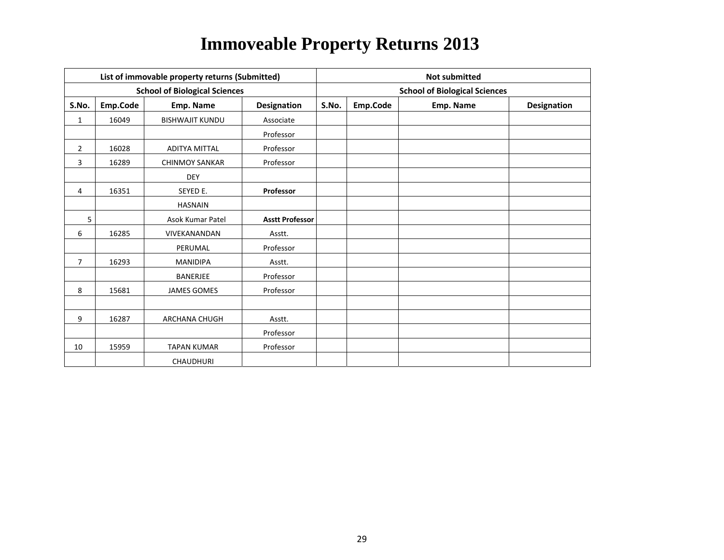|                | List of immovable property returns (Submitted) |                                      |                        |                                      | <b>Not submitted</b> |           |                    |  |  |
|----------------|------------------------------------------------|--------------------------------------|------------------------|--------------------------------------|----------------------|-----------|--------------------|--|--|
|                |                                                | <b>School of Biological Sciences</b> |                        | <b>School of Biological Sciences</b> |                      |           |                    |  |  |
| S.No.          | Emp.Code                                       | Emp. Name                            | Designation            | S.No.                                | Emp.Code             | Emp. Name | <b>Designation</b> |  |  |
| $\mathbf{1}$   | 16049                                          | <b>BISHWAJIT KUNDU</b>               | Associate              |                                      |                      |           |                    |  |  |
|                |                                                |                                      | Professor              |                                      |                      |           |                    |  |  |
| $\overline{2}$ | 16028                                          | ADITYA MITTAL                        | Professor              |                                      |                      |           |                    |  |  |
| 3              | 16289                                          | <b>CHINMOY SANKAR</b>                | Professor              |                                      |                      |           |                    |  |  |
|                |                                                | <b>DEY</b>                           |                        |                                      |                      |           |                    |  |  |
| 4              | 16351                                          | SEYED E.                             | Professor              |                                      |                      |           |                    |  |  |
|                |                                                | <b>HASNAIN</b>                       |                        |                                      |                      |           |                    |  |  |
| 5 <sub>1</sub> |                                                | <b>Asok Kumar Patel</b>              | <b>Asstt Professor</b> |                                      |                      |           |                    |  |  |
| 6              | 16285                                          | VIVEKANANDAN                         | Asstt.                 |                                      |                      |           |                    |  |  |
|                |                                                | PERUMAL                              | Professor              |                                      |                      |           |                    |  |  |
| $\overline{7}$ | 16293                                          | <b>MANIDIPA</b>                      | Asstt.                 |                                      |                      |           |                    |  |  |
|                |                                                | <b>BANERJEE</b>                      | Professor              |                                      |                      |           |                    |  |  |
| 8              | 15681                                          | <b>JAMES GOMES</b>                   | Professor              |                                      |                      |           |                    |  |  |
|                |                                                |                                      |                        |                                      |                      |           |                    |  |  |
| 9              | 16287                                          | ARCHANA CHUGH                        | Asstt.                 |                                      |                      |           |                    |  |  |
|                |                                                |                                      | Professor              |                                      |                      |           |                    |  |  |
| 10             | 15959                                          | <b>TAPAN KUMAR</b>                   | Professor              |                                      |                      |           |                    |  |  |
|                |                                                | CHAUDHURI                            |                        |                                      |                      |           |                    |  |  |